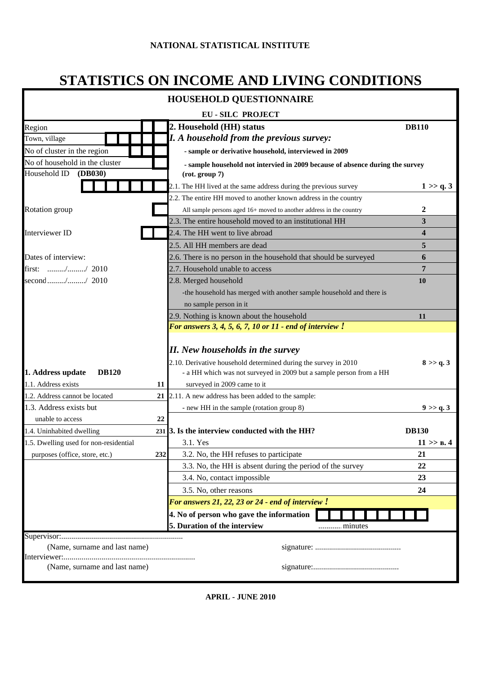# **STATISTICS ON INCOME AND LIVING CONDITIONS**

|                                                          |     | <b>HOUSEHOLD QUESTIONNAIRE</b>                                                                                                                                                                                   |                         |
|----------------------------------------------------------|-----|------------------------------------------------------------------------------------------------------------------------------------------------------------------------------------------------------------------|-------------------------|
|                                                          |     | <b>EU-SILC PROJECT</b>                                                                                                                                                                                           |                         |
| Region                                                   |     | 2. Household (HH) status                                                                                                                                                                                         | <b>DB110</b>            |
| Town, village                                            |     | <b>I.</b> A household from the previous survey:                                                                                                                                                                  |                         |
| No of cluster in the region                              |     | - sample or derivative household, interviewed in 2009                                                                                                                                                            |                         |
| No of household in the cluster                           |     | - sample household not intervied in 2009 because of absence during the survey                                                                                                                                    |                         |
| Household ID<br>(DB030)                                  |     | (rot. group 7)                                                                                                                                                                                                   |                         |
|                                                          |     | 2.1. The HH lived at the same address during the previous survey                                                                                                                                                 | 1 > > q.3               |
|                                                          |     | 2.2. The entire HH moved to another known address in the country                                                                                                                                                 |                         |
| <b>Rotation</b> group                                    |     | All sample persons aged 16+ moved to another address in the country                                                                                                                                              | 2                       |
|                                                          |     | 2.3. The entire household moved to an institutional HH                                                                                                                                                           | 3                       |
| Interviewer ID                                           |     | 2.4. The HH went to live abroad                                                                                                                                                                                  | $\overline{\mathbf{4}}$ |
|                                                          |     | 2.5. All HH members are dead                                                                                                                                                                                     | 5                       |
| Dates of interview:                                      |     | 2.6. There is no person in the household that should be surveyed                                                                                                                                                 | 6                       |
| first: // 2010                                           |     | 2.7. Household unable to access                                                                                                                                                                                  | 7                       |
| second// 2010                                            |     | 2.8. Merged household                                                                                                                                                                                            | 10                      |
|                                                          |     | -the household has merged with another sample household and there is                                                                                                                                             |                         |
|                                                          |     | no sample person in it                                                                                                                                                                                           |                         |
|                                                          |     | 2.9. Nothing is known about the household                                                                                                                                                                        | 11                      |
|                                                          |     | For answers 3, 4, 5, 6, 7, 10 or 11 - end of interview $!$                                                                                                                                                       |                         |
| 1. Address update<br><b>DB120</b><br>1.1. Address exists | 11  | <b>II.</b> New households in the survey<br>2.10. Derivative household determined during the survey in 2010<br>- a HH which was not surveyed in 2009 but a sample person from a HH<br>surveyed in 2009 came to it | 8 > > q.3               |
| 1.2. Address cannot be located                           | 21  | 2.11. A new address has been added to the sample:                                                                                                                                                                |                         |
| 1.3. Address exists but                                  |     | - new HH in the sample (rotation group 8)                                                                                                                                                                        | 9 > q.3                 |
| unable to access                                         | 22  |                                                                                                                                                                                                                  |                         |
| 1.4. Uninhabited dwelling                                |     | 231 3. Is the interview conducted with the HH?                                                                                                                                                                   | <b>DB130</b>            |
| 1.5. Dwelling used for non-residential                   |     | 3.1. Yes                                                                                                                                                                                                         | $11 \gg B.4$            |
| purposes (office, store, etc.)                           | 232 | 3.2. No, the HH refuses to participate                                                                                                                                                                           | 21                      |
|                                                          |     | 3.3. No, the HH is absent during the period of the survey                                                                                                                                                        | 22                      |
|                                                          |     | 3.4. No, contact impossible                                                                                                                                                                                      | 23                      |
|                                                          |     | 3.5. No, other reasons                                                                                                                                                                                           | 24                      |
|                                                          |     | For answers $21, 22, 23$ or $24$ - end of interview $!$                                                                                                                                                          |                         |
|                                                          |     | 4. No of person who gave the information                                                                                                                                                                         |                         |
|                                                          |     | 5. Duration of the interview                                                                                                                                                                                     |                         |
|                                                          |     |                                                                                                                                                                                                                  |                         |
| (Name, surname and last name)                            |     |                                                                                                                                                                                                                  |                         |
|                                                          |     |                                                                                                                                                                                                                  |                         |
| (Name, surname and last name)                            |     |                                                                                                                                                                                                                  |                         |

**APRIL - JUNE 2010**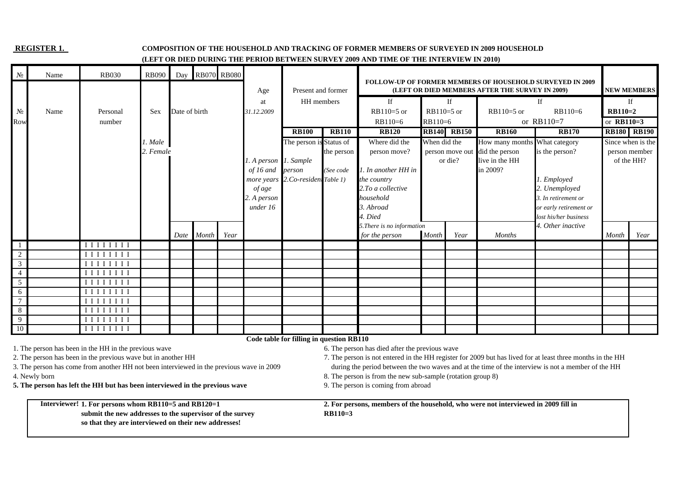#### **REGISTER 1. COMPOSITION OF THE HOUSEHOLD AND TRACKING OF FORMER MEMBERS OF SURVEYED IN 2009 HOUSEHOLD**

#### **(LEFT OR DIED DURING THE PERIOD BETWEEN SURVEY 2009 AND TIME OF THE INTERVIEW IN 2010)**

| $N_2$          | Name          | <b>RB030</b>                                                                                                                                                                                                                                                                                                                                                                                                                               | <b>RB090</b> | Day           |       | <b>RB070 RB080</b> |                       |                                          |              |                                                                                    |              |                    |                                                 | <b>FOLLOW-UP OF FORMER MEMBERS OF HOUSEHOLD SURVEYED IN 2009</b>                                                                                                                                                 |              |                    |
|----------------|---------------|--------------------------------------------------------------------------------------------------------------------------------------------------------------------------------------------------------------------------------------------------------------------------------------------------------------------------------------------------------------------------------------------------------------------------------------------|--------------|---------------|-------|--------------------|-----------------------|------------------------------------------|--------------|------------------------------------------------------------------------------------|--------------|--------------------|-------------------------------------------------|------------------------------------------------------------------------------------------------------------------------------------------------------------------------------------------------------------------|--------------|--------------------|
|                |               |                                                                                                                                                                                                                                                                                                                                                                                                                                            |              |               |       |                    | Age                   | Present and former                       |              |                                                                                    |              |                    | (LEFT OR DIED MEMBERS AFTER THE SURVEY IN 2009) |                                                                                                                                                                                                                  |              | <b>NEW MEMBERS</b> |
|                |               |                                                                                                                                                                                                                                                                                                                                                                                                                                            |              |               |       |                    | at                    | HH members                               |              | If                                                                                 |              | If                 |                                                 | If                                                                                                                                                                                                               |              | If                 |
| $N_2$          | Name          | Personal                                                                                                                                                                                                                                                                                                                                                                                                                                   | <b>Sex</b>   | Date of birth |       |                    | 31.12.2009            |                                          |              | $RB110=5$ or                                                                       | $RB110=5$ or |                    | $RB110=5$ or                                    | $RB110=6$                                                                                                                                                                                                        | $RB110=2$    |                    |
| Row            |               | number                                                                                                                                                                                                                                                                                                                                                                                                                                     |              |               |       |                    |                       |                                          |              | $RB110=6$                                                                          | RB110=6      |                    |                                                 | or $RB110=7$                                                                                                                                                                                                     | or $RB110=3$ |                    |
|                |               |                                                                                                                                                                                                                                                                                                                                                                                                                                            |              |               |       |                    |                       | <b>RB100</b>                             | <b>RB110</b> | <b>RB120</b>                                                                       |              | <b>RB140 RB150</b> | <b>RB160</b>                                    | <b>RB170</b>                                                                                                                                                                                                     |              | <b>RB180 RB190</b> |
|                |               |                                                                                                                                                                                                                                                                                                                                                                                                                                            | 1. Male      |               |       |                    |                       | The person is Status of                  |              | Where did the                                                                      | When did the |                    | How many months What category                   |                                                                                                                                                                                                                  |              | Since when is the  |
|                |               |                                                                                                                                                                                                                                                                                                                                                                                                                                            | 2. Female    |               |       |                    |                       |                                          | the person   | person move?                                                                       |              | person move out    | did the person                                  | is the person?                                                                                                                                                                                                   |              | person member      |
|                |               |                                                                                                                                                                                                                                                                                                                                                                                                                                            |              |               |       |                    | 1. A person 1. Sample |                                          |              |                                                                                    |              | or die?            | live in the HH                                  |                                                                                                                                                                                                                  |              | of the HH?         |
|                |               |                                                                                                                                                                                                                                                                                                                                                                                                                                            |              |               |       |                    | of 16 and             | person                                   | (See code    | 1. In another HH in                                                                |              |                    | in 2009?                                        |                                                                                                                                                                                                                  |              |                    |
|                |               |                                                                                                                                                                                                                                                                                                                                                                                                                                            |              |               |       |                    |                       | more years 2.Co-resident Table 1)        |              | the country                                                                        |              |                    |                                                 | 1. Employed                                                                                                                                                                                                      |              |                    |
|                |               |                                                                                                                                                                                                                                                                                                                                                                                                                                            |              |               |       |                    | of age                |                                          |              | 2. To a collective                                                                 |              |                    |                                                 | 2. Unemployed                                                                                                                                                                                                    |              |                    |
|                |               |                                                                                                                                                                                                                                                                                                                                                                                                                                            |              |               |       |                    | 2. A person           |                                          |              | household                                                                          |              |                    |                                                 | 3. In retirement or                                                                                                                                                                                              |              |                    |
|                |               |                                                                                                                                                                                                                                                                                                                                                                                                                                            |              |               |       |                    | under 16              |                                          |              | 3. Abroad                                                                          |              |                    |                                                 | or early retirement or                                                                                                                                                                                           |              |                    |
|                |               |                                                                                                                                                                                                                                                                                                                                                                                                                                            |              |               |       |                    |                       |                                          |              | 4. Died                                                                            |              |                    |                                                 | lost his/her business                                                                                                                                                                                            |              |                    |
|                |               |                                                                                                                                                                                                                                                                                                                                                                                                                                            |              | Date          | Month | Year               |                       |                                          |              | 5. There is no information<br>for the person                                       | Month        | Year               | <b>Months</b>                                   | 4. Other inactive                                                                                                                                                                                                | Month        | Year               |
|                |               | $\begin{array}{c c} \textbf{I} & \textbf{I} & \textbf{I} & \textbf{I} & \textbf{I} & \textbf{I} & \textbf{I} \end{array}$                                                                                                                                                                                                                                                                                                                  |              |               |       |                    |                       |                                          |              |                                                                                    |              |                    |                                                 |                                                                                                                                                                                                                  |              |                    |
| $\sqrt{2}$     |               | $\begin{array}{c c c c c} \textbf{I} & \textbf{I} & \textbf{I} & \textbf{I} & \textbf{I} & \textbf{I} & \textbf{I} & \textbf{I} \end{array}$                                                                                                                                                                                                                                                                                               |              |               |       |                    |                       |                                          |              |                                                                                    |              |                    |                                                 |                                                                                                                                                                                                                  |              |                    |
| $\mathbf{3}$   |               | $\begin{array}{c c} \textbf{I} & \textbf{I} & \textbf{I} & \textbf{I} & \textbf{I} & \textbf{I} & \textbf{I} \end{array}$                                                                                                                                                                                                                                                                                                                  |              |               |       |                    |                       |                                          |              |                                                                                    |              |                    |                                                 |                                                                                                                                                                                                                  |              |                    |
| $\overline{4}$ |               | $\begin{array}{c} \textbf{I}\ \textbf{I}\ \textbf{I}\ \textbf{I}\ \textbf{I}\ \textbf{I}\ \textbf{I}\ \textbf{I}\ \textbf{I} \end{array}$                                                                                                                                                                                                                                                                                                  |              |               |       |                    |                       |                                          |              |                                                                                    |              |                    |                                                 |                                                                                                                                                                                                                  |              |                    |
| $\overline{5}$ |               | $\begin{array}{c c} \hline \rule{0pt}{1.1ex}\quad \rule{0pt}{2.5ex}\quad \rule{0pt}{2.5ex}\quad \rule{0pt}{2.5ex}\quad \rule{0pt}{2.5ex}\quad \rule{0pt}{2.5ex}\quad \rule{0pt}{2.5ex}\quad \rule{0pt}{2.5ex}\quad \rule{0pt}{2.5ex}\quad \rule{0pt}{2.5ex}\quad \rule{0pt}{2.5ex}\quad \rule{0pt}{2.5ex}\quad \rule{0pt}{2.5ex}\quad \rule{0pt}{2.5ex}\quad \rule{0pt}{2.5ex}\quad \rule{0pt}{2.5ex}\quad \rule{0pt}{2.5ex}\quad \rule{0$ |              |               |       |                    |                       |                                          |              |                                                                                    |              |                    |                                                 |                                                                                                                                                                                                                  |              |                    |
| 6              |               | $\begin{array}{c c c c c} \textbf{I} & \textbf{I} & \textbf{I} & \textbf{I} & \textbf{I} & \textbf{I} & \textbf{I} & \textbf{I} \end{array}$                                                                                                                                                                                                                                                                                               |              |               |       |                    |                       |                                          |              |                                                                                    |              |                    |                                                 |                                                                                                                                                                                                                  |              |                    |
| $\overline{7}$ |               | $\begin{array}{c c} \textbf{I} & \textbf{I} & \textbf{I} & \textbf{I} & \textbf{I} & \textbf{I} & \textbf{I} & \textbf{I} \end{array}$                                                                                                                                                                                                                                                                                                     |              |               |       |                    |                       |                                          |              |                                                                                    |              |                    |                                                 |                                                                                                                                                                                                                  |              |                    |
| 8              |               | $\begin{array}{c} \textbf{I}\ \textbf{I}\ \textbf{I}\ \textbf{I}\ \textbf{I}\ \textbf{I}\ \textbf{I}\ \textbf{I} \end{array}$                                                                                                                                                                                                                                                                                                              |              |               |       |                    |                       |                                          |              |                                                                                    |              |                    |                                                 |                                                                                                                                                                                                                  |              |                    |
| 9              |               | $\begin{array}{c} \textbf{I}\ \textbf{I}\ \textbf{I}\ \textbf{I}\ \textbf{I}\ \textbf{I}\ \textbf{I}\ \textbf{I} \end{array}$                                                                                                                                                                                                                                                                                                              |              |               |       |                    |                       |                                          |              |                                                                                    |              |                    |                                                 |                                                                                                                                                                                                                  |              |                    |
| 10             |               | $\begin{array}{c} \textbf{I}\ \textbf{I}\ \textbf{I}\ \textbf{I}\ \textbf{I}\ \textbf{I}\ \textbf{I}\ \textbf{I} \end{array}$                                                                                                                                                                                                                                                                                                              |              |               |       |                    |                       |                                          |              |                                                                                    |              |                    |                                                 |                                                                                                                                                                                                                  |              |                    |
|                |               |                                                                                                                                                                                                                                                                                                                                                                                                                                            |              |               |       |                    |                       | Code table for filling in question RB110 |              |                                                                                    |              |                    |                                                 |                                                                                                                                                                                                                  |              |                    |
|                |               | 1. The person has been in the HH in the previous wave                                                                                                                                                                                                                                                                                                                                                                                      |              |               |       |                    |                       |                                          |              | 6. The person has died after the previous wave                                     |              |                    |                                                 |                                                                                                                                                                                                                  |              |                    |
|                |               | 2. The person has been in the previous wave but in another HH<br>3. The person has come from another HH not been interviewed in the previous wave in 2009                                                                                                                                                                                                                                                                                  |              |               |       |                    |                       |                                          |              |                                                                                    |              |                    |                                                 | 7. The person is not entered in the HH register for 2009 but has lived for at least three months in the HH<br>during the period between the two waves and at the time of the interview is not a member of the HH |              |                    |
|                | 4. Newly born |                                                                                                                                                                                                                                                                                                                                                                                                                                            |              |               |       |                    |                       |                                          |              | 8. The person is from the new sub-sample (rotation group 8)                        |              |                    |                                                 |                                                                                                                                                                                                                  |              |                    |
|                |               | 5. The person has left the HH but has been interviewed in the previous wave                                                                                                                                                                                                                                                                                                                                                                |              |               |       |                    |                       |                                          |              | 9. The person is coming from abroad                                                |              |                    |                                                 |                                                                                                                                                                                                                  |              |                    |
|                |               |                                                                                                                                                                                                                                                                                                                                                                                                                                            |              |               |       |                    |                       |                                          |              |                                                                                    |              |                    |                                                 |                                                                                                                                                                                                                  |              |                    |
|                |               | Interviewer! 1. For persons whom RB110=5 and RB120=1                                                                                                                                                                                                                                                                                                                                                                                       |              |               |       |                    |                       |                                          |              | 2. For persons, members of the household, who were not interviewed in 2009 fill in |              |                    |                                                 |                                                                                                                                                                                                                  |              |                    |
|                |               | submit the new addresses to the supervisor of the survey                                                                                                                                                                                                                                                                                                                                                                                   |              |               |       |                    |                       |                                          | $RB110=3$    |                                                                                    |              |                    |                                                 |                                                                                                                                                                                                                  |              |                    |
|                |               | so that they are interviewed on their new addresses!                                                                                                                                                                                                                                                                                                                                                                                       |              |               |       |                    |                       |                                          |              |                                                                                    |              |                    |                                                 |                                                                                                                                                                                                                  |              |                    |
|                |               |                                                                                                                                                                                                                                                                                                                                                                                                                                            |              |               |       |                    |                       |                                          |              |                                                                                    |              |                    |                                                 |                                                                                                                                                                                                                  |              |                    |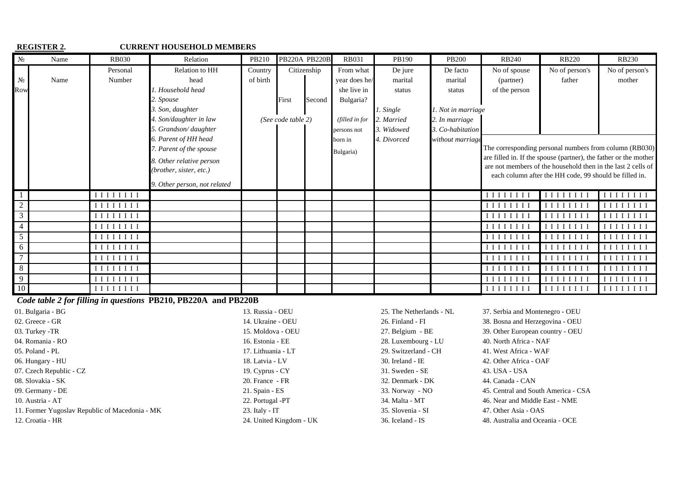|                 | <b>REGISTER 2.</b> |                                                                                                                           | <b>CURRENT HOUSEHOLD MEMBERS</b> |          |                      |             |                |             |                   |                                                                                                                                                                                                                                                                                                         |                                                                                                                                                                                                                                                                             |                                 |
|-----------------|--------------------|---------------------------------------------------------------------------------------------------------------------------|----------------------------------|----------|----------------------|-------------|----------------|-------------|-------------------|---------------------------------------------------------------------------------------------------------------------------------------------------------------------------------------------------------------------------------------------------------------------------------------------------------|-----------------------------------------------------------------------------------------------------------------------------------------------------------------------------------------------------------------------------------------------------------------------------|---------------------------------|
| $N_{2}$         | Name               | <b>RB030</b>                                                                                                              | Relation                         | PB210    | <b>PB220A PB220B</b> |             | <b>RB031</b>   | PB190       | <b>PB200</b>      | <b>RB240</b>                                                                                                                                                                                                                                                                                            | <b>RB220</b>                                                                                                                                                                                                                                                                | <b>RB230</b>                    |
|                 |                    | Personal                                                                                                                  | Relation to HH                   | Country  |                      | Citizenship | From what      | De jure     | De facto          | No of spouse                                                                                                                                                                                                                                                                                            | No of person's                                                                                                                                                                                                                                                              | No of person's                  |
| $N_{2}$         | Name               | Number                                                                                                                    | head                             | of birth |                      |             | year does he/  | marital     | marital           | (partner)                                                                                                                                                                                                                                                                                               | father                                                                                                                                                                                                                                                                      | mother                          |
| Row             |                    |                                                                                                                           | 1. Household head                |          |                      |             | she live in    | status      | status            | of the person                                                                                                                                                                                                                                                                                           |                                                                                                                                                                                                                                                                             |                                 |
|                 |                    |                                                                                                                           | 2. Spouse                        |          | First                | Second      | Bulgaria?      |             |                   |                                                                                                                                                                                                                                                                                                         |                                                                                                                                                                                                                                                                             |                                 |
|                 |                    |                                                                                                                           | 3. Son, daughter                 |          |                      |             |                | 1. Single   | . Not in marriage |                                                                                                                                                                                                                                                                                                         |                                                                                                                                                                                                                                                                             |                                 |
|                 |                    |                                                                                                                           | 4. Son/daughter in law           |          | (See code table 2)   |             | (filled in for | 2. Married  | . In marriage     |                                                                                                                                                                                                                                                                                                         |                                                                                                                                                                                                                                                                             |                                 |
|                 |                    |                                                                                                                           | 5. Grandson/daughter             |          |                      |             | persons not    | 3. Widowed  | 3. Co-habitation  |                                                                                                                                                                                                                                                                                                         |                                                                                                                                                                                                                                                                             |                                 |
|                 |                    |                                                                                                                           | 6. Parent of HH head             |          |                      |             | born in        | 4. Divorced | without marriage  |                                                                                                                                                                                                                                                                                                         |                                                                                                                                                                                                                                                                             |                                 |
|                 |                    |                                                                                                                           | 7. Parent of the spouse          |          |                      |             | Bulgaria)      |             |                   |                                                                                                                                                                                                                                                                                                         | The corresponding personal numbers from column (RB030)                                                                                                                                                                                                                      |                                 |
|                 |                    |                                                                                                                           | 8. Other relative person         |          |                      |             |                |             |                   |                                                                                                                                                                                                                                                                                                         | are filled in. If the spouse (partner), the father or the mother                                                                                                                                                                                                            |                                 |
|                 |                    |                                                                                                                           | (brother, sister, etc.)          |          |                      |             |                |             |                   |                                                                                                                                                                                                                                                                                                         | are not members of the household then in the last 2 cells of<br>each column after the HH code, 99 should be filled in.                                                                                                                                                      |                                 |
|                 |                    |                                                                                                                           | 9. Other person, not related     |          |                      |             |                |             |                   |                                                                                                                                                                                                                                                                                                         |                                                                                                                                                                                                                                                                             |                                 |
|                 |                    | IIIIIII                                                                                                                   |                                  |          |                      |             |                |             |                   | IIIIIII                                                                                                                                                                                                                                                                                                 | IIIIIII                                                                                                                                                                                                                                                                     | IIIIIII                         |
| $\overline{2}$  |                    | IIIIIIII                                                                                                                  |                                  |          |                      |             |                |             |                   | IIIIIII                                                                                                                                                                                                                                                                                                 | $\Box$                                                                                                                                                                                                                                                                      | IIIIIII                         |
| $\mathfrak{Z}$  |                    | $\begin{array}{c c} \textbf{I} & \textbf{I} & \textbf{I} & \textbf{I} & \textbf{I} & \textbf{I} & \textbf{I} \end{array}$ |                                  |          |                      |             |                |             |                   | IIIIII                                                                                                                                                                                                                                                                                                  | 11111111                                                                                                                                                                                                                                                                    | IIIIIII                         |
|                 |                    | IIIIIIII                                                                                                                  |                                  |          |                      |             |                |             |                   | IIIIIII                                                                                                                                                                                                                                                                                                 | $[$ [[ $[$ [ $[$ [ $[$ $]$ ]]]]]                                                                                                                                                                                                                                            | IIIIIII                         |
| $5\overline{)}$ |                    | IIIIIII                                                                                                                   |                                  |          |                      |             |                |             |                   |                                                                                                                                                                                                                                                                                                         | IIIIIII                                                                                                                                                                                                                                                                     | IIIIIII                         |
| 6               |                    | IIIIIII                                                                                                                   |                                  |          |                      |             |                |             |                   | IIIIIIII                                                                                                                                                                                                                                                                                                | IIIIIII                                                                                                                                                                                                                                                                     | IIIIIII                         |
|                 |                    |                                                                                                                           |                                  |          |                      |             |                |             |                   | $[$ [ $[$ [ $[$ $]$ $[$ $[$ $]$ $[$ $[$ $]$ $[$ $]$ $[$ $[$ $]$ $[$ $]$ $[$ $]$ $[$ $]$ $[$ $]$ $[$ $]$ $[$ $]$ $[$ $]$ $[$ $]$ $[$ $]$ $[$ $]$ $[$ $]$ $[$ $]$ $[$ $]$ $[$ $]$ $[$ $]$ $[$ $]$ $[$ $]$ $[$ $]$ $[$ $]$ $[$ $]$ $[$ $]$ $[$ $]$ $[$ $]$ $[$ $]$ $[$ $]$ $[$ $]$ $[$ $]$ $[$ $]$ $[$ $]$ | 1111111                                                                                                                                                                                                                                                                     | IIIIIII                         |
| $\,8\,$         |                    | IIIIIII                                                                                                                   |                                  |          |                      |             |                |             |                   |                                                                                                                                                                                                                                                                                                         | $\begin{smallmatrix} \end{smallmatrix} \begin{smallmatrix} \end{smallmatrix} \begin{smallmatrix} \end{smallmatrix} \begin{smallmatrix} \end{smallmatrix} \begin{smallmatrix} \end{smallmatrix} \begin{smallmatrix} \end{smallmatrix} \begin{smallmatrix} \end{smallmatrix}$ | IIIIIII                         |
| 9               |                    | IIIIIII                                                                                                                   |                                  |          |                      |             |                |             |                   | [111111]                                                                                                                                                                                                                                                                                                | 1111111                                                                                                                                                                                                                                                                     | $I$ $I$ $I$ $I$ $I$ $I$ $I$ $I$ |
| 10              |                    | IIIIIII                                                                                                                   |                                  |          |                      |             |                |             |                   | IIIIIIII                                                                                                                                                                                                                                                                                                | IIIIIIII                                                                                                                                                                                                                                                                    | IIIIIII                         |

 *Code table 2 for filling in questions* **PB210, PB220A and PB220B** 

| 01. Bulgaria - BG                              | 13. Russia - OEU        | 25. The Netherlands - NL | 37. Serbia and Montenegro - OEU     |
|------------------------------------------------|-------------------------|--------------------------|-------------------------------------|
| 02. Greece - GR                                | 14. Ukraine - OEU       | 26. Finland - FI         | 38. Bosna and Herzegovina - OEU     |
| 03. Turkey -TR                                 | 15. Moldova - OEU       | 27. Belgium - BE         | 39. Other European country - OEU    |
| 04. Romania - RO                               | 16. Estonia - EE        | 28. Luxembourg - LU      | 40. North Africa - NAF              |
| 05. Poland - PL                                | 17. Lithuania - LT      | 29. Switzerland - CH     | 41. West Africa - WAF               |
| 06. Hungary - HU                               | 18. Latvia - LV         | $30.$ Ireland - IE       | 42. Other Africa - OAF              |
| 07. Czech Republic - CZ                        | 19. Cyprus - CY         | 31. Sweden - SE          | 43. USA - USA                       |
| 08. Slovakia - SK                              | 20. France - FR         | 32. Denmark - DK         | 44. Canada - CAN                    |
| 09. Germany - DE                               | 21. Spain - ES          | 33. Norway - NO          | 45. Central and South America - CSA |
| 10. Austria - AT                               | 22. Portugal -PT        | 34. Malta - MT           | 46. Near and Middle East - NME      |
| 11. Former Yugoslav Republic of Macedonia - MK | $23.$ Italy - IT        | 35. Slovenia - SI        | 47. Other Asia - OAS                |
| 12. Croatia - HR                               | 24. United Kingdom - UK | 36. Iceland - IS         | 48. Australia and Oceania - OCE     |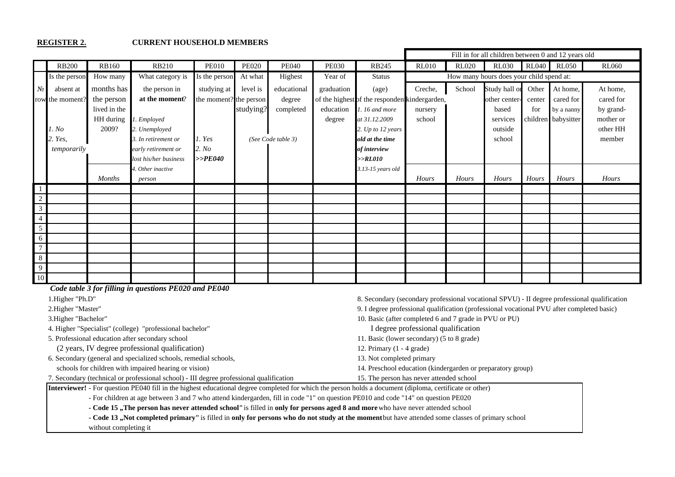#### **REGISTER 2. CURRENT HOUSEHOLD MEMBERS**

|                 |                 |               |                             |                        |              |                    |              |                                                |              |              | Fill in for all children between 0 and 12 years old |              |                     |              |
|-----------------|-----------------|---------------|-----------------------------|------------------------|--------------|--------------------|--------------|------------------------------------------------|--------------|--------------|-----------------------------------------------------|--------------|---------------------|--------------|
|                 | <b>RB200</b>    | <b>RB160</b>  | <b>RB210</b>                | <b>PE010</b>           | <b>PE020</b> | <b>PE040</b>       | <b>PE030</b> | <b>RB245</b>                                   | <b>RL010</b> | <b>RL020</b> | <b>RL030</b>                                        | <b>RL040</b> | <b>RL050</b>        | <b>RL060</b> |
|                 | Is the person   | How many      | What category is            | Is the person          | At what      | Highest            | Year of      | <b>Status</b>                                  |              |              | How many hours does your child spend at:            |              |                     |              |
| $N_2$           | absent at       | months has    | the person in               | studying at            | level is     | educational        | graduation   | (age)                                          | Creche,      | School       | Study hall or                                       |              | Other At home,      | At home,     |
|                 | row the moment? | the person    | at the moment?              | the moment? the person |              | degree             |              | of the highest of the respondent kindergarden, |              |              | other center-                                       | center       | cared for           | cared for    |
|                 |                 | lived in the  |                             |                        | studying?    | completed          | education    | 1.16 and more                                  | nursery      |              | based                                               | for          | by a nanny          | by grand-    |
|                 |                 | HH during     | 1. Employed                 |                        |              |                    | degree       | at 31.12.2009                                  | school       |              | services                                            |              | children babysitter | mother or    |
|                 | 1. No           | 2009?         | 2. Unemployed               |                        |              |                    |              | 2. Up to 12 years                              |              |              | outside                                             |              |                     | other HH     |
|                 | 2. Yes,         |               | 3. In retirement or         | 1. Yes                 |              | (See Code table 3) |              | old at the time                                |              |              | school                                              |              |                     | member       |
|                 | temporarily     |               | early retirement or         | 2. No                  |              |                    |              | of interview                                   |              |              |                                                     |              |                     |              |
|                 |                 |               | lost his/her business       | $>>$ PE040             |              |                    |              | >>RL010                                        |              |              |                                                     |              |                     |              |
|                 |                 | <b>Months</b> | 4. Other inactive<br>person |                        |              |                    |              | 3.13-15 years old                              | Hours        | Hours        | Hours                                               | Hours        | Hours               | Hours        |
| -1              |                 |               |                             |                        |              |                    |              |                                                |              |              |                                                     |              |                     |              |
| $\overline{c}$  |                 |               |                             |                        |              |                    |              |                                                |              |              |                                                     |              |                     |              |
| $\mathbf{3}$    |                 |               |                             |                        |              |                    |              |                                                |              |              |                                                     |              |                     |              |
| $\overline{4}$  |                 |               |                             |                        |              |                    |              |                                                |              |              |                                                     |              |                     |              |
| $5\overline{)}$ |                 |               |                             |                        |              |                    |              |                                                |              |              |                                                     |              |                     |              |
| 6               |                 |               |                             |                        |              |                    |              |                                                |              |              |                                                     |              |                     |              |
| $\tau$          |                 |               |                             |                        |              |                    |              |                                                |              |              |                                                     |              |                     |              |
| $8\phantom{.}$  |                 |               |                             |                        |              |                    |              |                                                |              |              |                                                     |              |                     |              |
| $\overline{9}$  |                 |               |                             |                        |              |                    |              |                                                |              |              |                                                     |              |                     |              |
| $10\,$          |                 |               |                             |                        |              |                    |              |                                                |              |              |                                                     |              |                     |              |

 *Code table 3 for filling in questions PE020 and PE040*

4. Higher "Specialist" (college) "professional bachelor" І degree professional qualification

5. Professional education after secondary school 11. Basic (lower secondary) (5 to 8 grade)

(2 years, ІV degree professional qualification) 12. Primary (1 - 4 grade)

6. Secondary (general and specialized schools, remedial schools, 13. Not completed primary

1.Higher "Ph.D" 8. Secondary (secondary professional vocational SPVU) - ІІ degree professional qualification

2.Higher "Master" 9. I degree professional qualification (professional vocational PVU after completed basic)

3.Higher "Bachelor" 10. Basic (after completed 6 and 7 grade in PVU or PU)

schools for children with impaired hearing or vision) 14. Preschool education (kindergarden or preparatory group)

7. Secondary (technical or professional school) - ІІІ degree professional qualification 15. The person has never attended school

**Interviewer!** - For question РЕ040 fill in the highest educational degree completed for which the person holds a document (diploma, certificate or other)

- For children at age between 3 and 7 who attend kindergarden, fill in code "1" on question PE010 and code "14" on question PE020

- Code 15, The person has never attended school" is filled in only for persons aged 8 and more who have never attended school

- Code 13, Not completed primary" is filled in only for persons who do not study at the moment but have attended some classes of primary school

without completing it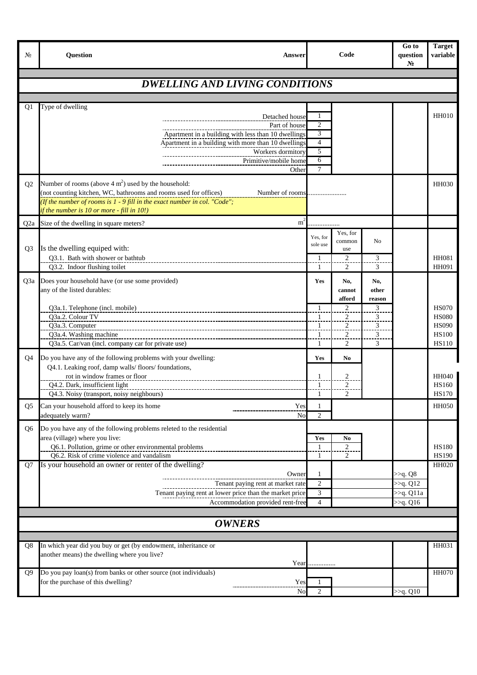| No               | <b>Question</b><br><b>Answer</b>                                                                                                                       |                     | Code                |                              | Go to<br>question<br>N <sub>2</sub> | <b>Target</b><br>variable    |
|------------------|--------------------------------------------------------------------------------------------------------------------------------------------------------|---------------------|---------------------|------------------------------|-------------------------------------|------------------------------|
|                  | <b>DWELLING AND LIVING CONDITIONS</b>                                                                                                                  |                     |                     |                              |                                     |                              |
|                  |                                                                                                                                                        |                     |                     |                              |                                     |                              |
| Q1               | Type of dwelling                                                                                                                                       |                     |                     |                              |                                     |                              |
|                  | Detached house                                                                                                                                         | 1                   |                     |                              |                                     | <b>HH010</b>                 |
|                  | Part of house<br>Apartment in a building with less than 10 dwellings                                                                                   | $\overline{2}$<br>3 |                     |                              |                                     |                              |
|                  | Apartment in a building with more than 10 dwellings                                                                                                    | $\overline{4}$      |                     |                              |                                     |                              |
|                  | Workers dormitory                                                                                                                                      | 5                   |                     |                              |                                     |                              |
|                  | Primitive/mobile home<br>Other                                                                                                                         | 6<br>$\overline{7}$ |                     |                              |                                     |                              |
|                  |                                                                                                                                                        |                     |                     |                              |                                     |                              |
| Q <sub>2</sub>   | Number of rooms (above $4 \text{ m}^2$ ) used by the household:<br>(not counting kitchen, WC, bathrooms and rooms used for offices)<br>Number of rooms |                     |                     |                              |                                     | <b>HH030</b>                 |
|                  | (If the number of rooms is 1 - 9 fill in the exact number in col. "Code";                                                                              |                     |                     |                              |                                     |                              |
|                  | if the number is 10 or more - fill in 10!)                                                                                                             |                     |                     |                              |                                     |                              |
| Q <sub>2</sub> a | Size of the dwelling in square meters?<br>$m^2$                                                                                                        |                     |                     |                              |                                     |                              |
|                  |                                                                                                                                                        | Yes, for            | Yes, for<br>common  | N <sub>0</sub>               |                                     |                              |
| Q <sub>3</sub>   | Is the dwelling equiped with:                                                                                                                          | sole use            | use                 |                              |                                     |                              |
|                  | Q3.1. Bath with shower or bathtub<br>Q3.2. Indoor flushing toilet                                                                                      | -1<br>-1            | $\overline{c}$<br>2 | $\overline{\mathbf{3}}$<br>3 |                                     | <b>HH081</b><br>HH091        |
|                  | Q3a Does your household have (or use some provided)                                                                                                    | Yes                 | No,                 | No,                          |                                     |                              |
|                  | any of the listed durables:                                                                                                                            |                     | cannot              | other                        |                                     |                              |
|                  |                                                                                                                                                        |                     | afford              | reason                       |                                     |                              |
|                  | Q3a.1. Telephone (incl. mobile)<br>Q3a.2. Colour TV                                                                                                    | $\mathbf{1}$<br>1   | $\overline{c}$<br>2 | 3<br>3                       |                                     | <b>HS070</b><br><b>HS080</b> |
|                  | Q3a.3. Computer                                                                                                                                        | $\mathbf{1}$        | $\overline{c}$      | 3                            |                                     | <b>HS090</b>                 |
|                  | Q3a.4. Washing machine                                                                                                                                 | 1                   | $\overline{2}$ .    | $\overline{\mathbf{3}}$      |                                     | <b>HS100</b>                 |
|                  | Q3a.5. Car/van (incl. company car for private use)                                                                                                     | 1                   | 2                   | 3                            |                                     | <b>HS110</b>                 |
| Q4               | Do you have any of the following problems with your dwelling:                                                                                          | Yes                 | No                  |                              |                                     |                              |
|                  | Q4.1. Leaking roof, damp walls/floors/foundations,<br>rot in window frames or floor                                                                    | 1                   | $\mathfrak{D}$      |                              |                                     | <b>HH040</b>                 |
|                  | Q4.2. Dark, insufficient light                                                                                                                         | 1                   | 2                   |                              |                                     | <b>HS160</b>                 |
|                  | Q4.3. Noisy (transport, noisy neighbours)                                                                                                              | 1                   | 2                   |                              |                                     | <b>HS170</b>                 |
| Q <sub>5</sub>   | Can your household afford to keep its home<br>Yes                                                                                                      | 1<br>$\overline{c}$ |                     |                              |                                     | <b>HH050</b>                 |
|                  | adequately warm?<br>No                                                                                                                                 |                     |                     |                              |                                     |                              |
| Q6               | Do you have any of the following problems releted to the residential<br>area (village) where you live:                                                 | Yes                 | N <sub>0</sub>      |                              |                                     |                              |
|                  | Q6.1. Pollution, grime or other environmental problems                                                                                                 | $\mathbf{1}$        | 2                   |                              |                                     | <b>HS180</b>                 |
|                  | Q6.2. Risk of crime violence and vandalism                                                                                                             | $\mathbf{1}$        | $\overline{c}$      |                              |                                     | <b>HS190</b>                 |
| Q7               | Is your household an owner or renter of the dwelling?<br>Owner                                                                                         | 1                   |                     |                              | >> <sub>q</sub> . Q8                | HH020                        |
|                  | Tenant paying rent at market rate                                                                                                                      | $\overline{2}$      |                     |                              | >>q. Q12                            |                              |
|                  | Tenant paying rent at lower price than the market price                                                                                                | 3                   |                     |                              | >>q. Q11a                           |                              |
|                  | Accommodation provided rent-free                                                                                                                       | $\overline{4}$      |                     |                              | $>q$ . Q16                          |                              |
|                  | <b>OWNERS</b>                                                                                                                                          |                     |                     |                              |                                     |                              |
|                  |                                                                                                                                                        |                     |                     |                              |                                     |                              |
| Q8               | In which year did you buy or get (by endowment, inheritance or<br>another means) the dwelling where you live?                                          |                     |                     |                              |                                     | HH031                        |
|                  |                                                                                                                                                        | Year                |                     |                              |                                     |                              |
| Q9               | Do you pay loan(s) from banks or other source (not individuals)                                                                                        |                     |                     |                              |                                     | <b>HH070</b>                 |
|                  | for the purchase of this dwelling?<br>Yes                                                                                                              | 1                   |                     |                              |                                     |                              |
|                  | No                                                                                                                                                     | $\mathbf{2}$        |                     |                              | >>q. Q10                            |                              |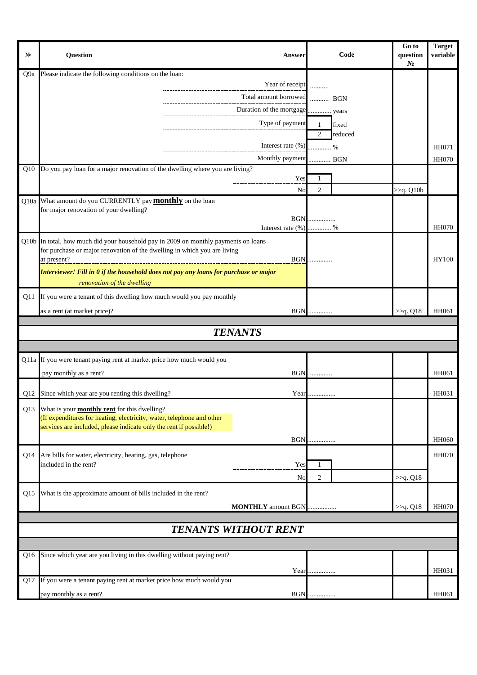| $N_2$ | <b>Ouestion</b>                                                                                                                                                 | Answer                                                | Code                                               | Go to<br>question<br>N <sub>2</sub> | <b>Target</b><br>variable |
|-------|-----------------------------------------------------------------------------------------------------------------------------------------------------------------|-------------------------------------------------------|----------------------------------------------------|-------------------------------------|---------------------------|
| Q9a   | Please indicate the following conditions on the loan:                                                                                                           |                                                       |                                                    |                                     |                           |
|       |                                                                                                                                                                 | Year of receipt                                       |                                                    |                                     |                           |
|       |                                                                                                                                                                 | Total amount borrowed  BGN<br>----------------------- |                                                    |                                     |                           |
|       |                                                                                                                                                                 |                                                       |                                                    |                                     |                           |
|       |                                                                                                                                                                 | Type of payment                                       | fixed<br>$\mathbf{1}$<br>$\overline{2}$<br>reduced |                                     |                           |
|       |                                                                                                                                                                 | Interest rate (%)                                     | %                                                  |                                     | HH071                     |
|       |                                                                                                                                                                 | Monthly payment  BGN                                  |                                                    |                                     | <b>HH070</b>              |
|       | Q10 Do you pay loan for a major renovation of the dwelling where you are living?                                                                                |                                                       |                                                    |                                     |                           |
|       |                                                                                                                                                                 | Yes                                                   | 1                                                  |                                     |                           |
|       | Q10a What amount do you CURRENTLY pay <b>monthly</b> on the loan                                                                                                | No                                                    | 2                                                  | $>>q$ . Q10b                        |                           |
|       | for major renovation of your dwelling?                                                                                                                          |                                                       |                                                    |                                     |                           |
|       |                                                                                                                                                                 | Interest rate $(\%)$ %                                | <b>BGN</b>                                         |                                     | <b>HH070</b>              |
|       |                                                                                                                                                                 |                                                       |                                                    |                                     |                           |
|       | Q10b In total, how much did your household pay in 2009 on monthly payments on loans<br>for purchase or major renovation of the dwelling in which you are living |                                                       |                                                    |                                     |                           |
|       | at present?                                                                                                                                                     |                                                       | <b>BGN</b>                                         |                                     | <b>HY100</b>              |
|       | Interviewer! Fill in 0 if the household does not pay any loans for purchase or major                                                                            |                                                       |                                                    |                                     |                           |
|       | renovation of the dwelling                                                                                                                                      |                                                       |                                                    |                                     |                           |
| Q11   | If you were a tenant of this dwelling how much would you pay monthly                                                                                            |                                                       |                                                    |                                     |                           |
|       | as a rent (at market price)?                                                                                                                                    | <b>BGN</b>                                            |                                                    | >>q. Q18                            | HH061                     |
|       |                                                                                                                                                                 | <b>TENANTS</b>                                        |                                                    |                                     |                           |
|       |                                                                                                                                                                 |                                                       |                                                    |                                     |                           |
|       | Q11a If you were tenant paying rent at market price how much would you                                                                                          |                                                       |                                                    |                                     |                           |
|       | pay monthly as a rent?                                                                                                                                          |                                                       | <b>BGN</b>                                         |                                     | HH061                     |
|       |                                                                                                                                                                 |                                                       |                                                    |                                     |                           |
|       | Q12 Since which year are you renting this dwelling?                                                                                                             |                                                       | Year                                               |                                     | HH031                     |
|       | Q13 What is your <b>monthly rent</b> for this dwelling?<br>(If expenditures for heating, electricity, water, telephone and other                                |                                                       |                                                    |                                     |                           |
|       | services are included, please indicate only the rent if possible!)                                                                                              |                                                       |                                                    |                                     |                           |
|       |                                                                                                                                                                 |                                                       | <b>BGN</b>                                         |                                     | <b>HH060</b>              |
| Q14   | Are bills for water, electricity, heating, gas, telephone                                                                                                       |                                                       |                                                    |                                     | <b>HH070</b>              |
|       | included in the rent?                                                                                                                                           | Yes                                                   | 1                                                  |                                     |                           |
|       |                                                                                                                                                                 | No                                                    | $\overline{c}$                                     | >>q. Q18                            |                           |
| Q15   | What is the approximate amount of bills included in the rent?                                                                                                   |                                                       |                                                    |                                     |                           |
|       |                                                                                                                                                                 | <b>MONTHLY</b> amount BGN                             |                                                    | >>q. Q18                            | <b>HH070</b>              |
|       |                                                                                                                                                                 |                                                       |                                                    |                                     |                           |
|       |                                                                                                                                                                 | <b>TENANTS WITHOUT RENT</b>                           |                                                    |                                     |                           |
|       |                                                                                                                                                                 |                                                       |                                                    |                                     |                           |
|       | Q16 Since which year are you living in this dwelling without paying rent?                                                                                       |                                                       |                                                    |                                     |                           |
|       |                                                                                                                                                                 |                                                       | Year                                               |                                     | HH031                     |
| Q17   | If you were a tenant paying rent at market price how much would you                                                                                             |                                                       |                                                    |                                     |                           |
|       | pay monthly as a rent?                                                                                                                                          | <b>BGN.</b>                                           |                                                    |                                     | HH061                     |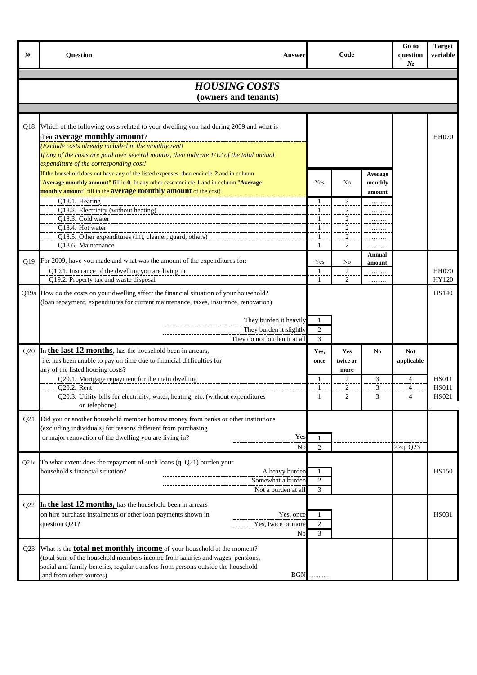| No.             | <b>Question</b><br><b>Answer</b>                                                         |                              | Code                             |         | Go to<br>question<br>N <sub>2</sub> | <b>Target</b><br>variable |
|-----------------|------------------------------------------------------------------------------------------|------------------------------|----------------------------------|---------|-------------------------------------|---------------------------|
|                 |                                                                                          |                              |                                  |         |                                     |                           |
|                 | <b>HOUSING COSTS</b>                                                                     |                              |                                  |         |                                     |                           |
|                 | (owners and tenants)                                                                     |                              |                                  |         |                                     |                           |
|                 |                                                                                          |                              |                                  |         |                                     |                           |
| Q18             | Which of the following costs related to your dwelling you had during 2009 and what is    |                              |                                  |         |                                     |                           |
|                 | their average monthly amount?                                                            |                              |                                  |         |                                     | <b>HH070</b>              |
|                 | (Exclude costs already included in the monthly rent!                                     |                              |                                  |         |                                     |                           |
|                 | If any of the costs are paid over several months, then indicate 1/12 of the total annual |                              |                                  |         |                                     |                           |
|                 | expenditure of the corresponding cost!                                                   |                              |                                  |         |                                     |                           |
|                 | If the household does not have any of the listed expenses, then encircle 2 and in column |                              |                                  | Average |                                     |                           |
|                 | Average monthly amount" fill in 0. In any other case encircle 1 and in column "Average   | Yes                          | N <sub>0</sub>                   | monthly |                                     |                           |
|                 | monthly amount" fill in the <b>average monthly amount</b> of the cost)                   |                              |                                  | amount  |                                     |                           |
|                 | Q18.1. Heating<br>Q18.2. Electricity (without heating)                                   | $\mathbf{1}$<br>$\mathbf{1}$ | $\overline{c}$<br>$\overline{c}$ |         |                                     |                           |
|                 | Q18.3. Cold water                                                                        | 1                            | 2                                | .       |                                     |                           |
|                 | O18.4. Hot water                                                                         | $\mathbf{1}$                 | 2                                |         |                                     |                           |
|                 | Q18.5. Other expenditures (lift, cleaner, guard, others)                                 | 1                            | $\overline{2}$                   |         |                                     |                           |
|                 | O18.6. Maintenance                                                                       | 1                            | 2                                | .       |                                     |                           |
| O19             | For 2009, have you made and what was the amount of the expenditures for:                 | Yes                          | No                               | Annual  |                                     |                           |
|                 | Q19.1. Insurance of the dwelling you are living in                                       | $\mathbf{1}$                 | $\boldsymbol{2}$                 | amount  |                                     | <b>HH070</b>              |
|                 | Q19.2. Property tax and waste disposal                                                   | 1                            | 2                                | .       |                                     | HY120                     |
|                 | Q19a How do the costs on your dwelling affect the financial situation of your household? |                              |                                  |         |                                     | <b>HS140</b>              |
|                 | (loan repayment, expenditures for current maintenance, taxes, insurance, renovation)     |                              |                                  |         |                                     |                           |
|                 |                                                                                          |                              |                                  |         |                                     |                           |
|                 | They burden it heavily                                                                   | 1                            |                                  |         |                                     |                           |
|                 | They burden it slightly                                                                  | $\overline{c}$               |                                  |         |                                     |                           |
|                 | They do not burden it at all                                                             | 3                            |                                  |         |                                     |                           |
| Q20             | In the last 12 months, has the household been in arrears,                                | Yes,                         | <b>Yes</b>                       | No      | <b>Not</b>                          |                           |
|                 | i.e. has been unable to pay on time due to financial difficulties for                    | once                         | twice or                         |         | applicable                          |                           |
|                 | any of the listed housing costs?<br>Q20.1. Mortgage repayment for the main dwelling      | $\mathbf{1}$                 | more<br>$\overline{c}$           | 3       | $\overline{4}$                      | <b>HS011</b>              |
|                 | Q20.2. Rent                                                                              | $\mathbf{1}$                 | $\overline{c}$                   | 3       | $\overline{4}$                      | <b>HS011</b>              |
|                 | Q20.3. Utility bills for electricity, water, heating, etc. (without expenditures         | 1                            | 2                                | 3       | $\overline{4}$                      | <b>HS021</b>              |
|                 | on telephone)                                                                            |                              |                                  |         |                                     |                           |
| Q <sub>21</sub> | Did you or another household member borrow money from banks or other institutions        |                              |                                  |         |                                     |                           |
|                 | (excluding individuals) for reasons different from purchasing                            |                              |                                  |         |                                     |                           |
|                 | or major renovation of the dwelling you are living in?<br>Yes                            |                              |                                  |         |                                     |                           |
|                 | No                                                                                       | $\overline{c}$               |                                  |         | >>q. Q23                            |                           |
| Q21a            | To what extent does the repayment of such loans (q. Q21) burden your                     |                              |                                  |         |                                     |                           |
|                 | household's financial situation?<br>A heavy burden                                       |                              |                                  |         |                                     | <b>HS150</b>              |
|                 | Somewhat a burden                                                                        | 2                            |                                  |         |                                     |                           |
|                 | Not a burden at all                                                                      | 3                            |                                  |         |                                     |                           |
| Q22             | In the last 12 months, has the household been in arrears                                 |                              |                                  |         |                                     |                           |
|                 | on hire purchase instalments or other loan payments shown in<br>Yes, once                |                              |                                  |         |                                     | <b>HS031</b>              |
|                 | question Q21?<br>Yes, twice or more                                                      | 2                            |                                  |         |                                     |                           |
|                 | No                                                                                       | 3                            |                                  |         |                                     |                           |
| Q <sub>23</sub> | What is the <b>total net monthly income</b> of your household at the moment?             |                              |                                  |         |                                     |                           |
|                 | (total sum of the household members income from salaries and wages, pensions,            |                              |                                  |         |                                     |                           |
|                 | social and family benefits, regular transfers from persons outside the household         |                              |                                  |         |                                     |                           |
|                 | <b>BGN</b><br>and from other sources)                                                    |                              |                                  |         |                                     |                           |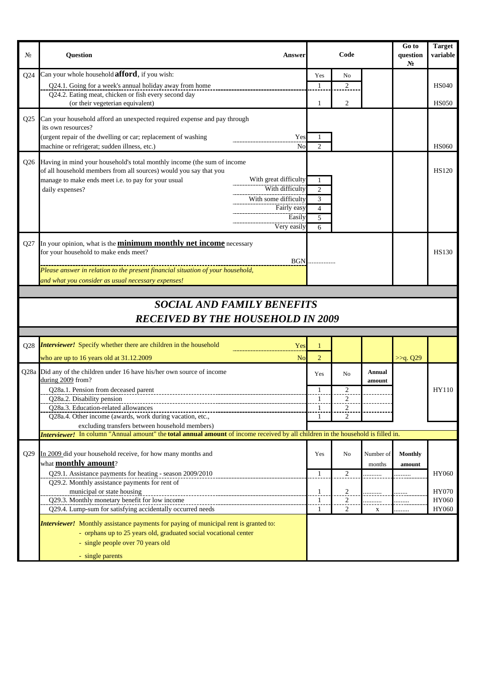| N <sub>2</sub>  | <b>Question</b><br>Answer                                                                                                                                                                                                                                                                                                              |     |                            | Code           |                     | Go to<br>question<br>N <sub>2</sub> | <b>Target</b><br>variable |
|-----------------|----------------------------------------------------------------------------------------------------------------------------------------------------------------------------------------------------------------------------------------------------------------------------------------------------------------------------------------|-----|----------------------------|----------------|---------------------|-------------------------------------|---------------------------|
| Q24             | Can your whole household <b>afford</b> , if you wish:                                                                                                                                                                                                                                                                                  |     | Yes                        | N <sub>0</sub> |                     |                                     |                           |
|                 | Q24.1. Going for a week's annual holiday away from home                                                                                                                                                                                                                                                                                |     | 1                          | $\overline{c}$ |                     |                                     | <b>HS040</b>              |
|                 | Q24.2. Eating meat, chicken or fish every second day<br>(or their vegeterian equivalent)                                                                                                                                                                                                                                               |     | 1                          | 2              |                     |                                     | <b>HS050</b>              |
|                 |                                                                                                                                                                                                                                                                                                                                        |     |                            |                |                     |                                     |                           |
| Q <sub>25</sub> | Can your household afford an unexpected required expense and pay through<br>its own resources?                                                                                                                                                                                                                                         |     |                            |                |                     |                                     |                           |
|                 | (urgent repair of the dwelling or car; replacement of washing                                                                                                                                                                                                                                                                          | Yes | 1                          |                |                     |                                     |                           |
|                 | machine or refrigerat; sudden illness, etc.)                                                                                                                                                                                                                                                                                           | No  | 2                          |                |                     |                                     | HS060                     |
|                 | Q26 Having in mind your household's total monthly income (the sum of income<br>of all household members from all sources) would you say that you<br>manage to make ends meet i.e. to pay for your usual<br>With great difficulty<br>With difficulty<br>daily expenses?<br>With some difficulty<br>Fairly easy<br>Easily<br>Very easily |     | 1<br>2<br>3<br>4<br>5<br>6 |                |                     |                                     | <b>HS120</b>              |
| Q27             | In your opinion, what is the <b>minimum monthly net income</b> necessary<br>for your household to make ends meet?                                                                                                                                                                                                                      |     |                            |                |                     |                                     | HS130                     |
|                 | <b>BGN</b>                                                                                                                                                                                                                                                                                                                             |     |                            |                |                     |                                     |                           |
|                 | Please answer in relation to the present financial situation of your household,<br>and what you consider as usual necessary expenses!                                                                                                                                                                                                  |     |                            |                |                     |                                     |                           |
|                 |                                                                                                                                                                                                                                                                                                                                        |     |                            |                |                     |                                     |                           |
|                 | <b>SOCIAL AND FAMILY BENEFITS</b>                                                                                                                                                                                                                                                                                                      |     |                            |                |                     |                                     |                           |
|                 | <b>RECEIVED BY THE HOUSEHOLD IN 2009</b>                                                                                                                                                                                                                                                                                               |     |                            |                |                     |                                     |                           |
|                 |                                                                                                                                                                                                                                                                                                                                        |     |                            |                |                     |                                     |                           |
|                 | Q28 <i>Interviewer!</i> Specify whether there are children in the household                                                                                                                                                                                                                                                            | Yes | $\mathbf{1}$               |                |                     |                                     |                           |
|                 | who are up to 16 years old at $31.12.2009$                                                                                                                                                                                                                                                                                             | No  | $\overline{2}$             |                |                     | >>q. Q29                            |                           |
|                 | Q28a Did any of the children under 16 have his/her own source of income<br>during 2009 from?                                                                                                                                                                                                                                           |     | Yes                        | N <sub>o</sub> | Annual<br>amount    |                                     |                           |
|                 | Q28a.1. Pension from deceased parent                                                                                                                                                                                                                                                                                                   |     |                            |                |                     |                                     | HY110                     |
|                 | Q28a.2. Disability pension<br>Q28a.3. Education-related allowances                                                                                                                                                                                                                                                                     |     | 1                          | $\sqrt{2}$     |                     |                                     |                           |
|                 | Q28a.4. Other income (awards, work during vacation, etc.,                                                                                                                                                                                                                                                                              |     | 1                          | 2              |                     |                                     |                           |
|                 | excluding transfers between household members)                                                                                                                                                                                                                                                                                         |     |                            |                |                     |                                     |                           |
|                 | Interviewer! In column "Annual amount" the total annual amount of income received by all children in the household is filled in.                                                                                                                                                                                                       |     |                            |                |                     |                                     |                           |
| Q29             | In 2009 did your household receive, for how many months and<br>what <b>monthly amount</b> ?                                                                                                                                                                                                                                            |     | Yes                        | No             | Number of<br>months | <b>Monthly</b>                      |                           |
|                 | Q29.1. Assistance payments for heating - season 2009/2010                                                                                                                                                                                                                                                                              |     | $\mathbf{1}$               | $\sqrt{2}$     |                     | amount                              | HY060                     |
|                 | Q29.2. Monthly assistance payments for rent of                                                                                                                                                                                                                                                                                         |     |                            |                |                     |                                     |                           |
|                 | municipal or state housing<br>Q29.3. Monthly monetary benefit for low income                                                                                                                                                                                                                                                           |     | $\frac{1}{1}$              | $\frac{2}{2}$  | .                   |                                     | HY070<br>HY060            |
|                 | Q29.4. Lump-sum for satisfying accidentally occurred needs                                                                                                                                                                                                                                                                             |     | 1                          | $\overline{2}$ | $\mathbf X$         | $\cdots$<br>.                       | HY060                     |
|                 | <b>Interviewer!</b> Monthly assistance payments for paying of municipal rent is granted to:<br>- orphans up to 25 years old, graduated social vocational center<br>- single people over 70 years old<br>- single parents                                                                                                               |     |                            |                |                     |                                     |                           |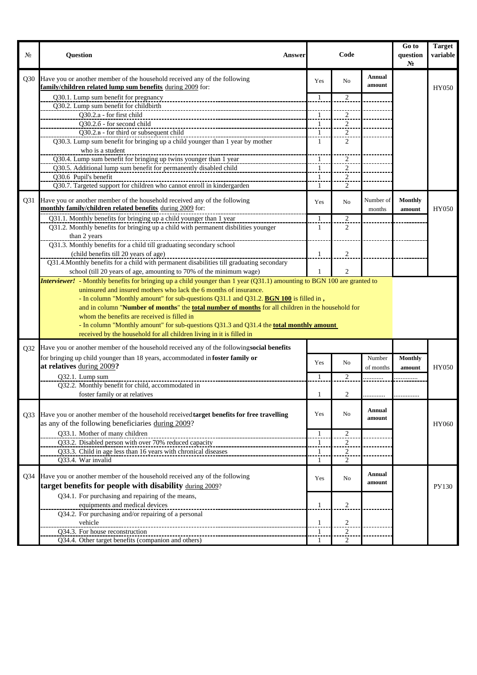| No. | <b>Question</b><br><b>Answer</b>                                                                                                                                                                                                                                                                                                                                                                                           |                | Code                    |                         | Go to<br>question<br>N <sub>2</sub> | <b>Target</b><br>variable |
|-----|----------------------------------------------------------------------------------------------------------------------------------------------------------------------------------------------------------------------------------------------------------------------------------------------------------------------------------------------------------------------------------------------------------------------------|----------------|-------------------------|-------------------------|-------------------------------------|---------------------------|
|     | Q30 Have you or another member of the household received any of the following<br>family/children related lump sum benefits during 2009 for:                                                                                                                                                                                                                                                                                | Yes            | N <sub>0</sub>          | <b>Annual</b><br>amount |                                     | HY050                     |
|     | Q30.1. Lump sum benefit for pregnancy                                                                                                                                                                                                                                                                                                                                                                                      | 1              | $\overline{c}$          |                         |                                     |                           |
|     | Q30.2. Lump sum benefit for childbirth                                                                                                                                                                                                                                                                                                                                                                                     |                |                         |                         |                                     |                           |
|     | Q30.2.a - for first child                                                                                                                                                                                                                                                                                                                                                                                                  | $\mathbf{1}$   | $\overline{c}$          |                         |                                     |                           |
|     | Q30.2.6 - for second child                                                                                                                                                                                                                                                                                                                                                                                                 | $\overline{1}$ | $\overline{2}$          |                         |                                     |                           |
|     | Q30.2.B - for third or subsequent child                                                                                                                                                                                                                                                                                                                                                                                    | $\mathbf{1}$   | $\overline{2}$          |                         |                                     |                           |
|     | Q30.3. Lump sum benefit for bringing up a child younger than 1 year by mother<br>who is a student                                                                                                                                                                                                                                                                                                                          | 1              | 2                       |                         |                                     |                           |
|     | Q30.4. Lump sum benefit for bringing up twins younger than 1 year                                                                                                                                                                                                                                                                                                                                                          | 1              | 2                       |                         |                                     |                           |
|     | Q30.5. Additional lump sum benefit for permanently disabled child                                                                                                                                                                                                                                                                                                                                                          | $\mathbf{1}$   | 2                       |                         |                                     |                           |
|     | Q30.6 Pupil's benefit                                                                                                                                                                                                                                                                                                                                                                                                      | 1              | $\overline{2}$          |                         |                                     |                           |
|     | Q30.7. Targeted support for children who cannot enroll in kindergarden                                                                                                                                                                                                                                                                                                                                                     | 1              | 2                       |                         |                                     |                           |
|     | Q31 Have you or another member of the household received any of the following<br>monthly family/children related benefits during 2009 for:                                                                                                                                                                                                                                                                                 | Yes            | N <sub>0</sub>          | Number of<br>months     | <b>Monthly</b><br>amount            | HY050                     |
|     | Q31.1. Monthly benefits for bringing up a child younger than 1 year                                                                                                                                                                                                                                                                                                                                                        | 1              | 2                       |                         |                                     |                           |
|     | Q31.2. Monthly benefits for bringing up a child with permanent disbilities younger                                                                                                                                                                                                                                                                                                                                         | $\mathbf{1}$   | $\overline{2}$          |                         |                                     |                           |
|     | than 2 years                                                                                                                                                                                                                                                                                                                                                                                                               |                |                         |                         |                                     |                           |
|     | Q31.3. Monthly benefits for a child till graduating secondary school                                                                                                                                                                                                                                                                                                                                                       |                |                         |                         |                                     |                           |
|     | (child benefits till 20 years of age)                                                                                                                                                                                                                                                                                                                                                                                      | $\mathbf{1}$   | $\overline{c}$          |                         |                                     |                           |
|     | Q31.4. Monthly benefits for a child with permanent disabilities till graduating secondary                                                                                                                                                                                                                                                                                                                                  |                |                         |                         |                                     |                           |
|     | school (till 20 years of age, amounting to 70% of the minimum wage)<br><b>Interviewer!</b> - Monthly benefits for bringing up a child younger than 1 year (Q31.1) amounting to BGN 100 are granted to                                                                                                                                                                                                                      | $\mathbf{1}$   | $\overline{c}$          |                         |                                     |                           |
|     | - In column "Monthly amount" for sub-questions Q31.1 and Q31.2. <b>BGN 100</b> is filled in,<br>and in column "Number of months" the total number of months for all children in the household for<br>whom the benefits are received is filled in<br>- In column "Monthly amount" for sub-questions Q31.3 and Q31.4 the <b>total monthly amount</b><br>received by the household for all children living in it is filled in |                |                         |                         |                                     |                           |
|     | Q32 Have you or another member of the household received any of the following social benefits                                                                                                                                                                                                                                                                                                                              |                |                         |                         |                                     |                           |
|     | for bringing up child younger than 18 years, accommodated in foster family or<br>at relatives during 2009?                                                                                                                                                                                                                                                                                                                 | Yes            | No                      | Number<br>of months     | Monthly<br>amount                   | HY050                     |
|     | Q32.1. Lump sum                                                                                                                                                                                                                                                                                                                                                                                                            | 1              | 2                       |                         |                                     |                           |
|     | Q32.2. Monthly benefit for child, accommodated in                                                                                                                                                                                                                                                                                                                                                                          |                |                         |                         |                                     |                           |
|     | foster family or at relatives                                                                                                                                                                                                                                                                                                                                                                                              | 1              | 2                       |                         |                                     |                           |
|     | Q33 Have you or another member of the household received target benefits for free travelling<br>as any of the following beneficiaries during 2009?                                                                                                                                                                                                                                                                         | Yes            | N <sub>o</sub>          | Annual<br>amount        |                                     | HY060                     |
|     | Q33.1. Mother of many children                                                                                                                                                                                                                                                                                                                                                                                             | $\mathbf{1}$   | $\overline{2}$          |                         |                                     |                           |
|     | Q33.2. Disabled person with over 70% reduced capacity                                                                                                                                                                                                                                                                                                                                                                      | $\mathbf{1}$   | 2                       |                         |                                     |                           |
|     | Q33.3. Child in age less than 16 years with chronical diseases                                                                                                                                                                                                                                                                                                                                                             | $\mathbf{1}$   | $\overline{\mathbf{c}}$ |                         |                                     |                           |
|     | Q33.4. War invalid                                                                                                                                                                                                                                                                                                                                                                                                         | 1              | 2                       |                         |                                     |                           |
| Q34 | Have you or another member of the household received any of the following                                                                                                                                                                                                                                                                                                                                                  | Yes            | No                      | Annual                  |                                     |                           |
|     | target benefits for people with disability during 2009?                                                                                                                                                                                                                                                                                                                                                                    |                |                         | amount                  |                                     | PY130                     |
|     | Q34.1. For purchasing and repairing of the means,                                                                                                                                                                                                                                                                                                                                                                          |                |                         |                         |                                     |                           |
|     | equipments and medical devices                                                                                                                                                                                                                                                                                                                                                                                             | $\mathbf{1}$   | $\overline{c}$          |                         |                                     |                           |
|     | Q34.2. For purchasing and/or repairing of a personal<br>vehicle                                                                                                                                                                                                                                                                                                                                                            | $\overline{1}$ | $\overline{2}$          |                         |                                     |                           |
|     | Q34.3. For house reconstruction                                                                                                                                                                                                                                                                                                                                                                                            | -1             | 2                       |                         |                                     |                           |
|     | Q34.4. Other target benefits (companion and others)                                                                                                                                                                                                                                                                                                                                                                        | 1              | 2                       |                         |                                     |                           |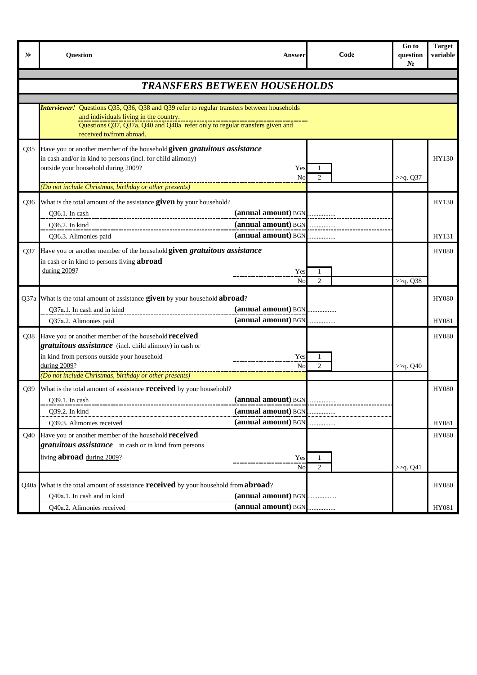| No  | <b>Question</b>                                                                                                                                                                                                                                | <b>Answer</b>                                                     | Code                | Go to<br>question<br>N <sub>2</sub> | <b>Target</b><br>variable |
|-----|------------------------------------------------------------------------------------------------------------------------------------------------------------------------------------------------------------------------------------------------|-------------------------------------------------------------------|---------------------|-------------------------------------|---------------------------|
|     | <b>TRANSFERS BETWEEN HOUSEHOLDS</b>                                                                                                                                                                                                            |                                                                   |                     |                                     |                           |
|     |                                                                                                                                                                                                                                                |                                                                   |                     |                                     |                           |
|     | <b>Interviewer!</b> Questions Q35, Q36, Q38 and Q39 refer to regular transfers between households<br>and individuals living in the country.<br>received to/from abroad.                                                                        |                                                                   |                     |                                     |                           |
| Q35 | Have you or another member of the household given gratuitous assistance<br>in cash and/or in kind to persons (incl. for child alimony)<br>outside your household during 2009?                                                                  | Yes<br>No                                                         | $\mathfrak{2}$      | >>q. Q37                            | HY130                     |
|     | (Do not include Christmas, birthday or other presents)                                                                                                                                                                                         |                                                                   |                     |                                     |                           |
| Q36 | What is the total amount of the assistance given by your household?<br>Q36.1. In cash<br>Q36.2. In kind                                                                                                                                        | (annual amount) BGN<br>(annual amount) BGN                        |                     |                                     | HY130                     |
|     | Q36.3. Alimonies paid                                                                                                                                                                                                                          | $(annual amount)$ $BGN$ <sub></sub>                               |                     |                                     | HY131                     |
| Q37 | Have you or another member of the household given gratuitous assistance<br>in cash or in kind to persons living <b>abroad</b><br>during 2009?                                                                                                  | Yes<br>No                                                         | 1<br>$\overline{c}$ | >>q. Q38                            | <b>HY080</b>              |
|     | Q37a What is the total amount of assistance given by your household abroad?<br>Q37a.1. In cash and in kind<br>Q37a.2. Alimonies paid                                                                                                           | (annual amount) BGN                                               |                     |                                     | <b>HY080</b><br>HY081     |
| Q38 | Have you or another member of the household <b>received</b><br>gratuitous assistance (incl. child alimony) in cash or<br>in kind from persons outside your household<br>during 2009?<br>(Do not include Christmas, birthday or other presents) | Yes<br>No                                                         | 1<br>2              | >>q. Q40                            | <b>HY080</b>              |
|     | Q39 What is the total amount of assistance <b>received</b> by your household?<br>Q39.1. In cash<br>Q39.2. In kind<br>Q39.3. Alimonies received                                                                                                 | (annual amount) BGN<br>(annual amount) BGN<br>(annual amount) BGN |                     |                                     | <b>HY080</b><br>HY081     |
| Q40 | Have you or another member of the household <b>received</b>                                                                                                                                                                                    |                                                                   |                     |                                     | <b>HY080</b>              |
|     | gratuitous assistance in cash or in kind from persons<br>living <b>abroad</b> during 2009?                                                                                                                                                     | Yes<br>No                                                         | 1<br>$\overline{c}$ | >>q. Q41                            |                           |
|     | Q40a What is the total amount of assistance <b>received</b> by your household from <b>abroad</b> ?<br>Q40a.1. In cash and in kind                                                                                                              | (annual amount) BGN                                               |                     |                                     | <b>HY080</b>              |
|     | Q40a.2. Alimonies received                                                                                                                                                                                                                     | (annual amount) BGN                                               |                     |                                     | HY081                     |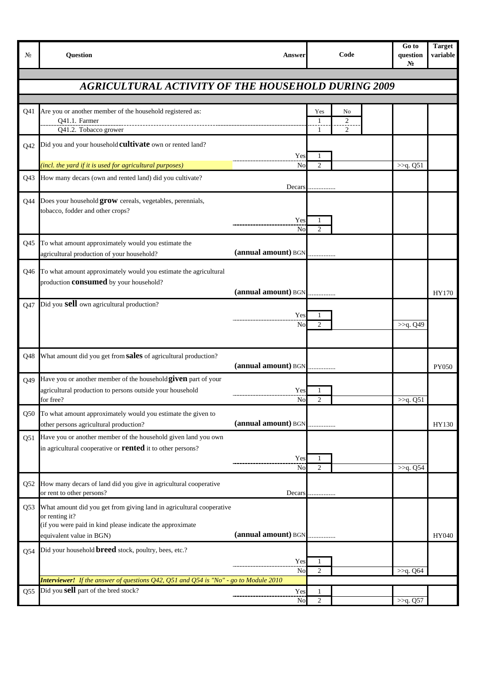| No.             | Question                                                                                                                                                                        | Answer              | Code                            | Go to<br>question<br>$N_2$ | <b>Target</b><br>variable |
|-----------------|---------------------------------------------------------------------------------------------------------------------------------------------------------------------------------|---------------------|---------------------------------|----------------------------|---------------------------|
|                 | <b>AGRICULTURAL ACTIVITY OF THE HOUSEHOLD DURING 2009</b>                                                                                                                       |                     |                                 |                            |                           |
|                 |                                                                                                                                                                                 |                     |                                 |                            |                           |
| Q41             | Are you or another member of the household registered as:<br>Q41.1. Farmer<br>Q41.2. Tobacco grower                                                                             |                     | Yes<br>No<br>2<br>-1<br>2<br>-1 |                            |                           |
| Q <sub>42</sub> | Did you and your household <b>cultivate</b> own or rented land?                                                                                                                 | Yes                 | -1                              |                            |                           |
|                 | (incl. the yard if it is used for agricultural purposes)                                                                                                                        | No                  | $\overline{2}$                  | >>q. Q51                   |                           |
| Q43             | How many decars (own and rented land) did you cultivate?                                                                                                                        | Decars              |                                 |                            |                           |
| Q44             | Does your household grow cereals, vegetables, perennials,<br>tobacco, fodder and other crops?                                                                                   | Yes<br>No           | $\overline{c}$                  |                            |                           |
| Q45             | To what amount approximately would you estimate the<br>agricultural production of your household?                                                                               | (annual amount) BGN | .                               |                            |                           |
| Q46             | To what amount approximately would you estimate the agricultural<br>production <b>consumed</b> by your household?                                                               | (annual amount) BGN |                                 |                            | HY170                     |
| Q47             | Did you <b>sell</b> own agricultural production?                                                                                                                                | Yes<br>No           | 1<br>2                          | >>q. Q49                   |                           |
| Q48             | What amount did you get from sales of agricultural production?                                                                                                                  | (annual amount) BGN |                                 |                            | <b>PY050</b>              |
| O49             | Have you or another member of the household given part of your<br>agricultural production to persons outside your household<br>for free?                                        | Yes<br><b>No</b>    | $\overline{2}$                  | >>q. Q51                   |                           |
| Q50             | To what amount approximately would you estimate the given to                                                                                                                    |                     |                                 |                            |                           |
|                 | other persons agricultural production?                                                                                                                                          | (annual amount) BGN |                                 |                            | HY130                     |
| Q51             | Have you or another member of the household given land you own<br>in agricultural cooperative or <b>rented</b> it to other persons?                                             | Yes<br>No           | 1<br>2                          | $>>q. Q5\overline{4}$      |                           |
| Q52             | How many decars of land did you give in agricultural cooperative<br>or rent to other persons?                                                                                   | Decars              | .                               |                            |                           |
| Q53             | What amount did you get from giving land in agricultural cooperative<br>or renting it?<br>(if you were paid in kind please indicate the approximate<br>equivalent value in BGN) | (annual amount) BGN |                                 |                            | HY040                     |
| Q54             | Did your household <b>breed</b> stock, poultry, bees, etc.?                                                                                                                     | Yes<br>No           | 1<br>$\overline{2}$             | >>q. Q64                   |                           |
|                 | <b>Interviewer!</b> If the answer of questions Q42, Q51 and Q54 is "No" - go to Module 2010                                                                                     |                     |                                 |                            |                           |
| Q55             | Did you sell part of the bred stock?                                                                                                                                            | Yes<br>No           | 1<br>$\overline{2}$             | >>q. Q57                   |                           |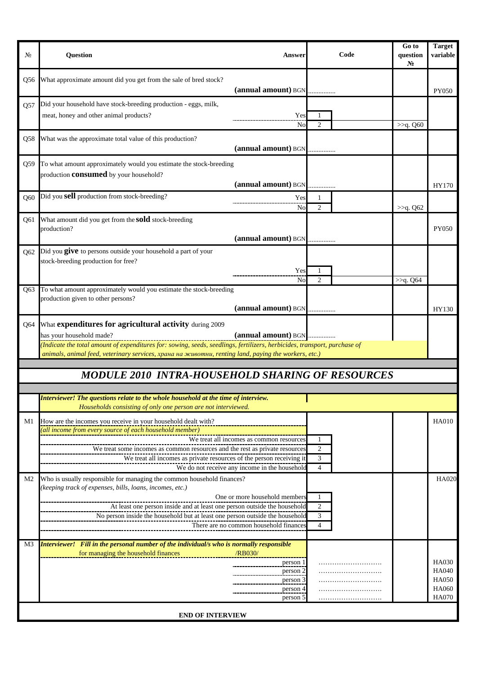| No              | Question                                                                                                                                                                                                                                                                                                                 | <b>Answer</b>                                                                             | Code                                  | Go to<br>question<br>N <sub>2</sub> | <b>Target</b><br>variable                                             |
|-----------------|--------------------------------------------------------------------------------------------------------------------------------------------------------------------------------------------------------------------------------------------------------------------------------------------------------------------------|-------------------------------------------------------------------------------------------|---------------------------------------|-------------------------------------|-----------------------------------------------------------------------|
| Q56             | What approximate amount did you get from the sale of bred stock?                                                                                                                                                                                                                                                         | (annual amount) BGN                                                                       |                                       |                                     | PY050                                                                 |
| Q57             | Did your household have stock-breeding production - eggs, milk,<br>meat, honey and other animal products?                                                                                                                                                                                                                | Yes<br>No                                                                                 | 1<br>$\overline{2}$                   | >>q. Q60                            |                                                                       |
| Q58             | What was the approximate total value of this production?                                                                                                                                                                                                                                                                 | (annual amount) BGN                                                                       |                                       |                                     |                                                                       |
| Q59             | To what amount approximately would you estimate the stock-breeding<br>production <b>consumed</b> by your household?                                                                                                                                                                                                      | (annual amount) BGN                                                                       |                                       |                                     | HY170                                                                 |
| O60             | Did you sell production from stock-breeding?                                                                                                                                                                                                                                                                             | Yes<br>No                                                                                 | 1<br>$\overline{c}$                   | >>q. Q62                            |                                                                       |
| Q61             | What amount did you get from the <b>sold</b> stock-breeding<br>production?                                                                                                                                                                                                                                               | (annual amount) BGN                                                                       |                                       |                                     | PY050                                                                 |
| Q62             | Did you give to persons outside your household a part of your<br>stock-breeding production for free?                                                                                                                                                                                                                     | Yes<br>No                                                                                 | $\mathfrak{D}$                        | >>q. Q64                            |                                                                       |
|                 | Q63 To what amount approximately would you estimate the stock-breeding<br>production given to other persons?                                                                                                                                                                                                             | (annual amount) BGN                                                                       |                                       |                                     | HY130                                                                 |
| Q <sub>64</sub> | What expenditures for agricultural activity during 2009<br>has your household made?<br>(Indicate the total amount of expenditures for: sowing, seeds, seedlings, fertilizers, herbicides, transport, purchase of<br>animals, animal feed, veterinary services, храна на животни, renting land, paying the workers, etc.) | (annual amount) BGN                                                                       |                                       |                                     |                                                                       |
|                 | MODULE 2010 INTRA-HOUSEHOLD SHARING OF RESOURCES                                                                                                                                                                                                                                                                         |                                                                                           |                                       |                                     |                                                                       |
|                 |                                                                                                                                                                                                                                                                                                                          |                                                                                           |                                       |                                     |                                                                       |
|                 | <b>Interviewer!</b> The questions relate to the whole household at the time of interview.<br>Households consisting of only one person are not interviewed.                                                                                                                                                               |                                                                                           |                                       |                                     |                                                                       |
| M1              | How are the incomes you receive in your household dealt with?<br>(all income from every source of each household member)<br>We treat some incomes as common resources and the rest as private resources<br>We treat all incomes as private resources of the person receiving it                                          | We treat all incomes as common resources<br>We do not receive any income in the household | $\overline{c}$<br>3<br>$\overline{4}$ |                                     | <b>HA010</b>                                                          |
| M2              | Who is usually responsible for managing the common household finances?<br>(keeping track of expenses, bills, loans, incomes, etc.)<br>At least one person inside and at least one person outside the household<br>No person inside the household but at least one person outside the household                           | One or more household members<br>There are no common household finances                   | 2<br>3<br>$\overline{4}$              |                                     | <b>HA020</b>                                                          |
| M3              | Interviewer! Fill in the personal number of the individual/s who is normally responsible<br>for managing the household finances<br><b>END OF INTERVIEW</b>                                                                                                                                                               | /RB030/<br>person 1<br>person 2<br>person 3<br>person 4<br>person 5                       |                                       |                                     | <b>HA030</b><br><b>HA040</b><br><b>HA050</b><br>HA060<br><b>HA070</b> |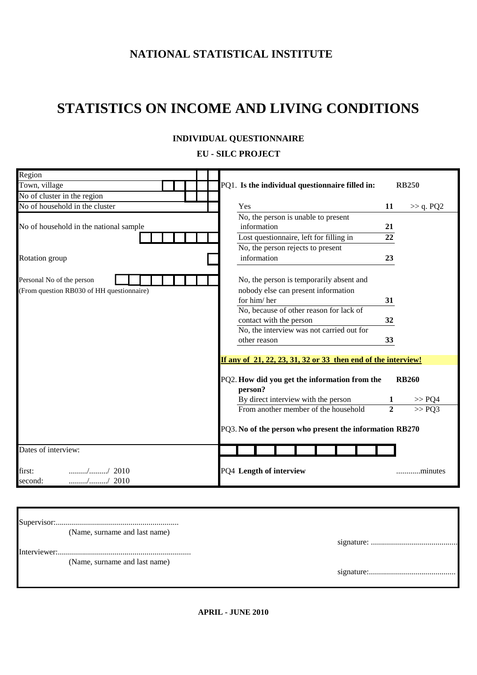## **NATIONAL STATISTICAL INSTITUTE**

# **STATISTICS ON INCOME AND LIVING CONDITIONS**

#### **ЕU - SILC PROJECT**

| Region                                                                                                  |                                                                                                                                                                                  |                        |
|---------------------------------------------------------------------------------------------------------|----------------------------------------------------------------------------------------------------------------------------------------------------------------------------------|------------------------|
| Town, village                                                                                           | PQ1. Is the individual questionnaire filled in:                                                                                                                                  | <b>RB250</b>           |
| No of cluster in the region                                                                             |                                                                                                                                                                                  |                        |
| No of household in the cluster                                                                          | Yes<br>11                                                                                                                                                                        | $\gg$ q. PQ2           |
|                                                                                                         | No, the person is unable to present                                                                                                                                              |                        |
| No of household in the national sample                                                                  | information<br>21                                                                                                                                                                |                        |
|                                                                                                         | Lost questionnaire, left for filling in<br>22                                                                                                                                    |                        |
|                                                                                                         | No, the person rejects to present                                                                                                                                                |                        |
| Rotation group                                                                                          | information<br>23                                                                                                                                                                |                        |
| Personal No of the person<br>(From question RB030 of HH questionnaire)                                  | No, the person is temporarily absent and<br>nobody else can present information<br>for him/her<br>31<br>No, because of other reason for lack of<br>contact with the person<br>32 |                        |
|                                                                                                         | No, the interview was not carried out for                                                                                                                                        |                        |
|                                                                                                         | 33<br>other reason                                                                                                                                                               |                        |
|                                                                                                         | If any of 21, 22, 23, 31, 32 or 33 then end of the interview!                                                                                                                    |                        |
|                                                                                                         | PQ2. How did you get the information from the<br>person?<br>By direct interview with the person                                                                                  | <b>RB260</b><br>>> PQ4 |
|                                                                                                         | $\overline{2}$<br>From another member of the household                                                                                                                           | >> PQ3                 |
|                                                                                                         | PQ3. No of the person who present the information RB270                                                                                                                          |                        |
| Dates of interview:                                                                                     |                                                                                                                                                                                  |                        |
| first:<br>$\ldots \ldots \ldots \ldots \ldots \ldots \ldots \ldots \ldots$ / 2010<br>// 2010<br>second: | PQ4 Length of interview                                                                                                                                                          | minutes                |
|                                                                                                         |                                                                                                                                                                                  |                        |

| (Name, surname and last name) |  |
|-------------------------------|--|
|                               |  |
|                               |  |
| (Name, surname and last name) |  |
|                               |  |
|                               |  |
|                               |  |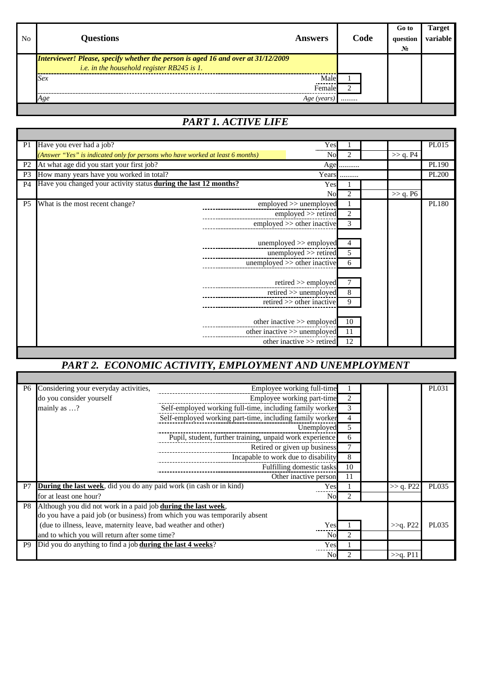| No. | <b>Questions</b>                                                                                                                       | <b>Answers</b> | Code | Go to<br>question<br>No. | <b>Target</b><br>variable |
|-----|----------------------------------------------------------------------------------------------------------------------------------------|----------------|------|--------------------------|---------------------------|
|     | Interviewer! Please, specify whether the person is aged 16 and over at 31/12/2009<br><i>i.e.</i> in the household register RB245 is 1. |                |      |                          |                           |
|     | Sex                                                                                                                                    | Male<br>Female |      |                          |                           |
|     | Age                                                                                                                                    | Age (years     |      |                          |                           |

## *PART 1. ACTIVE LIFE*

| P1             | Have you ever had a job?                                                       | Yes                          |                             |             | PL015        |
|----------------|--------------------------------------------------------------------------------|------------------------------|-----------------------------|-------------|--------------|
|                | (Answer "Yes" is indicated only for persons who have worked at least 6 months) | <b>No</b>                    | 2                           | $\gg$ q. P4 |              |
| P <sub>2</sub> | At what age did you start your first job?                                      | Age                          |                             |             | PL190        |
| P <sub>3</sub> | How many years have you worked in total?                                       |                              | Years                       |             | <b>PL200</b> |
| <b>P4</b>      | Have you changed your activity status <b>during the last 12 months?</b>        | Yes                          |                             |             |              |
|                |                                                                                | <b>No</b>                    | $\mathcal{D}_{\mathcal{L}}$ | $\gg$ q. P6 |              |
| P <sub>5</sub> | What is the most recent change?                                                | employed >> unemployed       |                             |             | PL180        |
|                |                                                                                | employed >> retired          | 2                           |             |              |
|                |                                                                                | employed >> other inactive   | 3                           |             |              |
|                |                                                                                |                              |                             |             |              |
|                |                                                                                | unemployed $\gg$ employed    | 4                           |             |              |
|                |                                                                                | unemployed >> retired        | 5                           |             |              |
|                |                                                                                | unemployed >> other inactive | 6                           |             |              |
|                |                                                                                |                              |                             |             |              |
|                |                                                                                | $retired \gg emploved$       |                             |             |              |
|                |                                                                                | retired >> unemployed        | 8                           |             |              |
|                |                                                                                | retired $\gg$ other inactive | 9                           |             |              |
|                |                                                                                |                              |                             |             |              |
|                |                                                                                | other inactive >> employed   | 10                          |             |              |
|                |                                                                                | other inactive >> unemployed | 11                          |             |              |
|                |                                                                                | other inactive >> retired    | 12                          |             |              |
|                |                                                                                |                              |                             |             |              |

## *PART 2. ECONOMIC ACTIVITY, EMPLOYMENT AND UNEMPLOYMENT*

| P <sub>6</sub> | Considering your everyday activities,                                       | Employee working full-time                               |                |             | PL031 |
|----------------|-----------------------------------------------------------------------------|----------------------------------------------------------|----------------|-------------|-------|
|                | do you consider yourself                                                    | Employee working part-time                               | 2              |             |       |
|                | mainly as $\dots$ ?                                                         | Self-employed working full-time, including family worker | 3              |             |       |
|                |                                                                             | Self-employed working part-time, including family worker |                |             |       |
|                |                                                                             | Unemployed                                               | 5              |             |       |
|                |                                                                             | Pupil, student, further training, unpaid work experience | 6              |             |       |
|                |                                                                             | Retired or given up business                             |                |             |       |
|                |                                                                             | Incapable to work due to disability                      | 8              |             |       |
|                |                                                                             | Fulfilling domestic tasks                                | 10             |             |       |
|                |                                                                             | Other inactive person                                    | 11             |             |       |
| P7             | <b>During the last week</b> , did you do any paid work (in cash or in kind) | Yes                                                      |                | >> q. P22   | PL035 |
|                | for at least one hour?                                                      | No                                                       | $\mathfrak{D}$ |             |       |
| P8             | Although you did not work in a paid job <b>during the last week</b> ,       |                                                          |                |             |       |
|                | do you have a paid job (or business) from which you was temporarily absent  |                                                          |                |             |       |
|                | (due to illness, leave, maternity leave, bad weather and other)             | Yes                                                      |                | $>>q$ . P22 | PL035 |
|                | and to which you will return after some time?                               | No                                                       | $\mathfrak{D}$ |             |       |
| P <sub>9</sub> | Did you do anything to find a job <b>during the last 4 weeks</b> ?          | Yes                                                      |                |             |       |
|                |                                                                             | N <sub>0</sub>                                           |                | $>>q.$ P11  |       |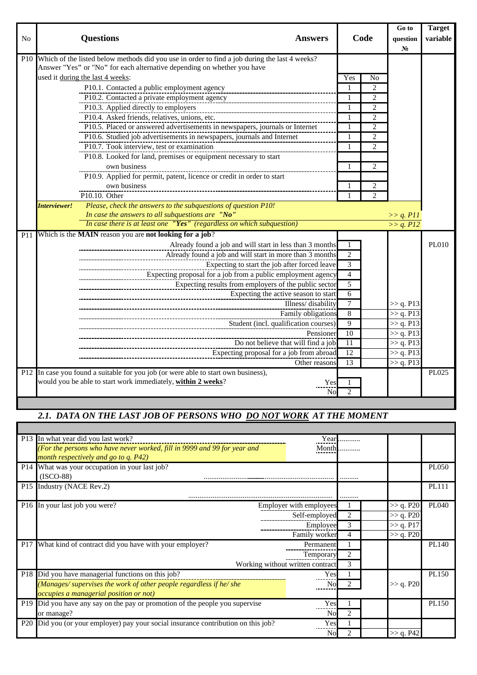| N <sub>0</sub> | <b>Questions</b><br><b>Answers</b>                                                                                                                                                                                                                                                                                                                                                                                                                                                                                                                                                                                                                                                                                                                                                                                                                                                                  | Code                                                                         |                                                                                                                       | Go to<br>question<br>N <sub>0</sub>                                                     | <b>Target</b><br>variable |
|----------------|-----------------------------------------------------------------------------------------------------------------------------------------------------------------------------------------------------------------------------------------------------------------------------------------------------------------------------------------------------------------------------------------------------------------------------------------------------------------------------------------------------------------------------------------------------------------------------------------------------------------------------------------------------------------------------------------------------------------------------------------------------------------------------------------------------------------------------------------------------------------------------------------------------|------------------------------------------------------------------------------|-----------------------------------------------------------------------------------------------------------------------|-----------------------------------------------------------------------------------------|---------------------------|
|                | P10 Which of the listed below methods did you use in order to find a job during the last 4 weeks?<br>Answer "Yes" or "No" for each alternative depending on whether you have<br>used it during the last 4 weeks:<br>P10.1. Contacted a public employment agency<br>P10.2. Contacted a private employment agency<br>P10.3. Applied directly to employers<br>P10.4. Asked friends, relatives, unions, etc.<br>P10.5. Placed or answered advertisements in newspapers, journals or Internet<br>P10.6. Studied job advertisements in newspapers, journals and Internet<br>P10.7. Took interview, test or examination<br>P10.8. Looked for land, premises or equipment necessary to start<br>own business<br>P10.9. Applied for permit, patent, licence or credit in order to start<br>own business<br>$P10.10.$ Other<br>Please, check the answers to the subquestions of question P10!<br>Interviewer! | Yes<br>1<br>$\mathbf{1}$<br>-1<br>1<br>1<br>1<br>1                           | No<br>$\overline{c}$<br>2<br>2<br>$\overline{c}$<br>2<br>$\overline{c}$<br>$\overline{c}$<br>2<br>2<br>$\overline{c}$ |                                                                                         |                           |
|                | In case the answers to all subquestions are "No"<br>In case there is at least one "Yes" (regardless on which subquestion)                                                                                                                                                                                                                                                                                                                                                                                                                                                                                                                                                                                                                                                                                                                                                                           |                                                                              |                                                                                                                       | $>> q.$ P11<br>>> q. P12                                                                |                           |
|                | P11 Which is the MAIN reason you are not looking for a job?<br>Already found a job and will start in less than 3 months<br>Already found a job and will start in more than 3 months<br>Expecting to start the job after forced leave<br>Expecting proposal for a job from a public employment agency<br>Expecting results from employers of the public sector<br>Expecting the active season to start<br>Illness/disability<br>Family obligations<br>Student (incl. qualification courses)<br>Pensioner<br>Do not believe that will find a job<br>Expecting proposal for a job from abroad<br>Other reasons                                                                                                                                                                                                                                                                                         | 1<br>2<br>3<br>4<br>5<br>6<br>7<br>8<br>$\mathbf{Q}$<br>10<br>11<br>12<br>13 |                                                                                                                       | >> q. P13<br>>> q. P13<br>>> q. P13<br>>> q. P13<br>>> q. P13<br>>> q. P13<br>>> q. P13 | PL010                     |
|                | P12 In case you found a suitable for you job (or were able to start own business),<br>would you be able to start work immediately, within 2 weeks?<br>Yes                                                                                                                                                                                                                                                                                                                                                                                                                                                                                                                                                                                                                                                                                                                                           |                                                                              |                                                                                                                       |                                                                                         | PL025                     |
|                | No                                                                                                                                                                                                                                                                                                                                                                                                                                                                                                                                                                                                                                                                                                                                                                                                                                                                                                  | $\mathfrak{D}$                                                               |                                                                                                                       |                                                                                         |                           |

### 2.1. DATA ON THE LAST JOB OF PERSONS WHO DO NOT WORK AT THE MOMENT

|     | P13 In what year did you last work?<br>(For the persons who have never worked, fill in 9999 and 99 for year and<br>month respectively and go to q. P42)                     | Year                                                                  |             |                                                  |              |
|-----|-----------------------------------------------------------------------------------------------------------------------------------------------------------------------------|-----------------------------------------------------------------------|-------------|--------------------------------------------------|--------------|
| P14 | What was your occupation in your last job?<br>$(ISCO-88)$                                                                                                                   |                                                                       |             |                                                  | <b>PL050</b> |
|     | P15 Industry (NACE Rev.2)                                                                                                                                                   |                                                                       | .           |                                                  | <b>PL111</b> |
|     | P16 In your last job you were?                                                                                                                                              | Employer with employees<br>Self-employed<br>Employee<br>Family worker | 2<br>3<br>4 | >> q. P20<br>>> q. P20<br>>> q. P17<br>>> q. P20 | <b>PL040</b> |
|     | P17 What kind of contract did you have with your employer?                                                                                                                  | Permanent<br>Temporary<br>Working without written contract            | 2<br>3      |                                                  | PL140        |
|     | P18 Did you have managerial functions on this job?<br>$(Manages/supervises the work of other people regardless if he/she$<br><i>occupies a managerial position or not</i> ) | Yes<br>No                                                             |             | >> q. P20                                        | PL150        |
|     | P19 Did you have any say on the pay or promotion of the people you supervise<br>or manage?                                                                                  | Yes<br>No                                                             | 2           |                                                  | PL150        |
|     | P20 Did you (or your employer) pay your social insurance contribution on this job?                                                                                          | Yes<br>Nol                                                            |             | >> q. P42                                        |              |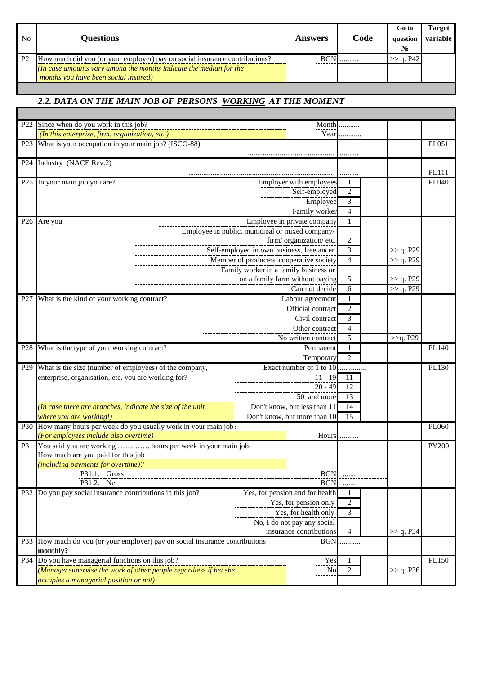| No | <b>Questions</b>                                                               | Answers    | Code | Go to<br>question<br>$N_2$ | Target<br>variable |
|----|--------------------------------------------------------------------------------|------------|------|----------------------------|--------------------|
|    | P21 How much did you (or your employer) pay on social insurance contributions? | <b>BGN</b> |      | $>>$ a. P42                |                    |
|    | (In case amounts vary among the months indicate the median for the             |            |      |                            |                    |
|    | months you have been social insured)                                           |            |      |                            |                    |

#### *2.2. DATA ON THE MAIN JOB OF PERSONS WORKING AT THE MOMENT*

| P <sub>22</sub> | Since when do you work in this job?                                      | Month                                 |                |           |              |
|-----------------|--------------------------------------------------------------------------|---------------------------------------|----------------|-----------|--------------|
|                 | (In this enterprise, firm, organization, etc.)                           | Year                                  |                |           |              |
| P23             | What is your occupation in your main job? (ISCO-88)                      |                                       |                |           | PL051        |
|                 |                                                                          |                                       |                |           |              |
| P24             | Industry (NACE Rev.2)                                                    |                                       |                |           |              |
|                 |                                                                          |                                       |                |           | PL111        |
|                 | P25 In your main job you are?                                            | Employer with employees               |                |           | PL040        |
|                 |                                                                          | Self-employed                         | $\overline{2}$ |           |              |
|                 |                                                                          | Employee                              | 3              |           |              |
|                 |                                                                          | Family worker                         | $\overline{4}$ |           |              |
|                 |                                                                          |                                       |                |           |              |
|                 | P26 Are you                                                              | Employee in private company           | 1              |           |              |
|                 | Employee in public, municipal or mixed company/                          |                                       |                |           |              |
|                 |                                                                          | firm/organization/etc.                | $\overline{2}$ |           |              |
|                 | Self-employed in own business, freelancer                                |                                       | $\overline{3}$ | >> q. P29 |              |
|                 | Member of producers' cooperative society                                 |                                       | $\overline{4}$ | >> q. P29 |              |
|                 |                                                                          | Family worker in a family business or |                |           |              |
|                 |                                                                          | on a family farm without paying       | $\sqrt{5}$     | >> q. P29 |              |
|                 |                                                                          | Can not decide                        | 6              | >> q. P29 |              |
|                 | P27 What is the kind of your working contract?                           | Labour agreement                      | 1              |           |              |
|                 |                                                                          | Official contract                     | $\overline{2}$ |           |              |
|                 |                                                                          | Civil contract                        | 3              |           |              |
|                 |                                                                          | Other contract                        | $\overline{4}$ |           |              |
|                 |                                                                          | No written contract                   | 5              | >>q. P29  |              |
|                 | P28 What is the type of your working contract?                           | Permanent                             |                |           | PL140        |
|                 |                                                                          | Temporary                             | $\overline{2}$ |           |              |
|                 | P29 What is the size (number of employees) of the company,               |                                       |                |           | PL130        |
|                 | enterprise, organisation, etc. you are working for?                      | Exact number of 1 to 10<br>$11 - 19$  | .              |           |              |
|                 |                                                                          |                                       | 11             |           |              |
|                 |                                                                          | $20 - 49$                             | 12             |           |              |
|                 |                                                                          | 50 and more                           | 13             |           |              |
|                 | (In case there are branches, indicate the size of the unit               | Don't know, but less than 11          | 14             |           |              |
|                 | where you are working!)                                                  | Don't know, but more than 10          | 15             |           |              |
|                 | P30 How many hours per week do you usually work in your main job?        |                                       |                |           | PL060        |
|                 | (For employees include also overtime)                                    | Hours                                 |                |           |              |
| P31             | You said you are working  hours per week in your main job.               |                                       |                |           | <b>PY200</b> |
|                 | How much are you paid for this job                                       |                                       |                |           |              |
|                 | (including payments for overtime)?                                       |                                       |                |           |              |
|                 | P31.1. Gross                                                             | <b>BGN</b>                            | <u></u>        |           |              |
|                 | P31.2.<br>Net                                                            | <b>BGN</b>                            |                |           |              |
| P32             | Do you pay social insurance contributions in this job?                   | Yes, for pension and for health       |                |           |              |
|                 |                                                                          | Yes, for pension only                 | $\overline{c}$ |           |              |
|                 |                                                                          | Yes, for health only                  | $\overline{3}$ |           |              |
|                 |                                                                          | No, I do not pay any social           |                |           |              |
|                 |                                                                          | insurance contributions               | 4              | >> q. P34 |              |
| P33             | How much do you (or your employer) pay on social insurance contributions | <b>BGN</b>                            |                |           |              |
|                 | monthly?                                                                 |                                       |                |           |              |
|                 | P34 Do you have managerial functions on this job?                        | Yes                                   |                |           | PL150        |
|                 | (Manage/ supervise the work of other people regardless if he/ she        | No                                    | $\overline{2}$ | >> q. P36 |              |
|                 | <i>occupies a managerial position or not</i> )                           |                                       |                |           |              |
|                 |                                                                          |                                       |                |           |              |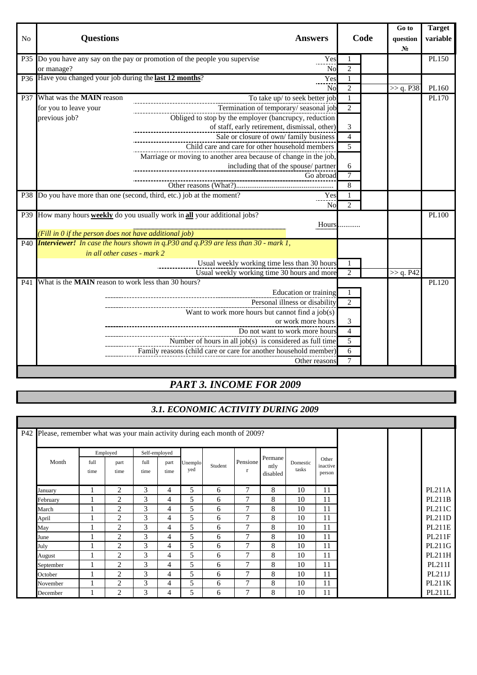|                |                                                            |                                                                                               |                |      | Go to          | <b>Target</b> |
|----------------|------------------------------------------------------------|-----------------------------------------------------------------------------------------------|----------------|------|----------------|---------------|
| N <sub>o</sub> | <b>Questions</b>                                           | <b>Answers</b>                                                                                |                | Code | question       | variable      |
|                |                                                            |                                                                                               |                |      | N <sub>0</sub> |               |
|                |                                                            | P35 Do you have any say on the pay or promotion of the people you supervise<br>Yes            |                |      |                | PL150         |
|                | or manage?                                                 | No                                                                                            | $\overline{c}$ |      |                |               |
|                | P36 Have you changed your job during the last 12 months?   | Yes                                                                                           | 1              |      |                |               |
|                |                                                            | N <sub>0</sub>                                                                                | $\overline{2}$ |      | >> q. P38      | PL160         |
|                | P37 What was the <b>MAIN</b> reason                        | To take up/ to seek better job                                                                |                |      |                | PL170         |
|                | for you to leave your                                      | Termination of temporary/seasonal job                                                         | $\overline{c}$ |      |                |               |
|                | previous job?                                              | Obliged to stop by the employer (bancrupcy, reduction                                         |                |      |                |               |
|                |                                                            | of staff, early retirement, dismissal, other)                                                 | 3              |      |                |               |
|                |                                                            | Sale or closure of own/family business                                                        | $\overline{4}$ |      |                |               |
|                |                                                            | Child care and care for other household members                                               | 5              |      |                |               |
|                |                                                            | Marriage or moving to another area because of change in the job,                              |                |      |                |               |
|                |                                                            | including that of the spouse/ partner                                                         | 6              |      |                |               |
|                |                                                            | Go abroad<br>___________________________________                                              | $\overline{7}$ |      |                |               |
|                |                                                            |                                                                                               | 8              |      |                |               |
|                |                                                            | P38 Do you have more than one (second, third, etc.) job at the moment?<br>Yes                 | 1              |      |                |               |
|                |                                                            | <b>No</b>                                                                                     | 2              |      |                |               |
|                |                                                            | P39 How many hours <b>weekly</b> do you usually work in <b>all</b> your additional jobs?      |                |      |                | PL100         |
|                |                                                            | Hours.                                                                                        |                |      |                |               |
|                | (Fill in 0 if the person does not have additional job)     |                                                                                               |                |      |                |               |
|                |                                                            | P40 <i>Interviewer!</i> In case the hours shown in q.P30 and q.P39 are less than 30 - mark 1, |                |      |                |               |
|                | in all other cases - mark 2                                |                                                                                               |                |      |                |               |
|                |                                                            | Usual weekly working time less than 30 hours                                                  |                |      |                |               |
|                |                                                            | Usual weekly working time 30 hours and more                                                   | $\mathfrak{D}$ |      | >> q. P42      |               |
| P41            | What is the <b>MAIN</b> reason to work less than 30 hours? |                                                                                               |                |      |                | PL120         |
|                |                                                            | Education or training                                                                         |                |      |                |               |
|                |                                                            | Personal illness or disability                                                                | 2              |      |                |               |
|                |                                                            | Want to work more hours but cannot find a job(s)                                              |                |      |                |               |
|                |                                                            | or work more hours                                                                            | 3              |      |                |               |
|                |                                                            | Do not want to work more hours                                                                | $\overline{4}$ |      |                |               |
|                |                                                            | Number of hours in all job(s) is considered as full time                                      | $\overline{5}$ |      |                |               |
|                |                                                            | Family reasons (child care or care for another household member)                              | 6              |      |                |               |
|                |                                                            | Other reasons                                                                                 | $\tau$         |      |                |               |
|                |                                                            |                                                                                               |                |      |                |               |

## *PART 3. INCOME FOR 2009*

## *3.1. ECONOMIC ACTIVITY DURING 2009*

ī.

|           |              | Employed       | Self-employed |              |                |         |               |                             |                   |                             |  |               |
|-----------|--------------|----------------|---------------|--------------|----------------|---------|---------------|-----------------------------|-------------------|-----------------------------|--|---------------|
| Month     | full<br>time | part<br>time   | full<br>time  | part<br>time | Unemplo<br>yed | Student | Pensione<br>r | Permane<br>ntly<br>disabled | Domestic<br>tasks | Other<br>inactive<br>person |  |               |
| January   |              | $\overline{2}$ | 3             | 4            | 5              | 6       | 7             | 8                           | 10                | 11                          |  | <b>PL211A</b> |
| February  |              | $\overline{c}$ | 3             | 4            | 5              | 6       | $\mathcal{I}$ | 8                           | 10                | 11                          |  | PL211B        |
| March     |              | $\overline{c}$ | 3             | 4            | 5              | 6       | $\mathcal{I}$ | 8                           | 10                | 11                          |  | PL211C        |
| April     |              | $\overline{2}$ | 3             | 4            | 5              | 6       | $\mathcal{I}$ | 8                           | 10                | 11                          |  | PL211D        |
| May       |              | $\overline{c}$ | 3             | 4            | 5              | 6       | $\tau$        | 8                           | 10                | 11                          |  | PL211E        |
| June      |              | $\overline{2}$ | 3             | 4            | 5              | 6       | 7             | 8                           | 10                | 11                          |  | PL211F        |
| July      |              | $\overline{2}$ | 3             | 4            | 5              | 6       | $\tau$        | 8                           | 10                | 11                          |  | PL211G        |
| August    |              | $\overline{2}$ | 3             | 4            | 5              | 6       | 7             | 8                           | 10                | 11                          |  | PL211H        |
| September |              | $\overline{2}$ | 3             | 4            | 5              | 6       | 7             | 8                           | 10                | 11                          |  | PL211I        |
| October   |              | $\overline{2}$ | 3             | 4            | 5              | 6       | 7             | 8                           | 10                | 11                          |  | PL211J        |
| November  |              | $\overline{2}$ | 3             | 4            | 5              | 6       | 7             | 8                           | 10                | 11                          |  | PL211K        |
| December  |              | $\overline{2}$ | 3             | 4            | 5              | 6       | 7             | 8                           | 10                | 11                          |  | PL211L        |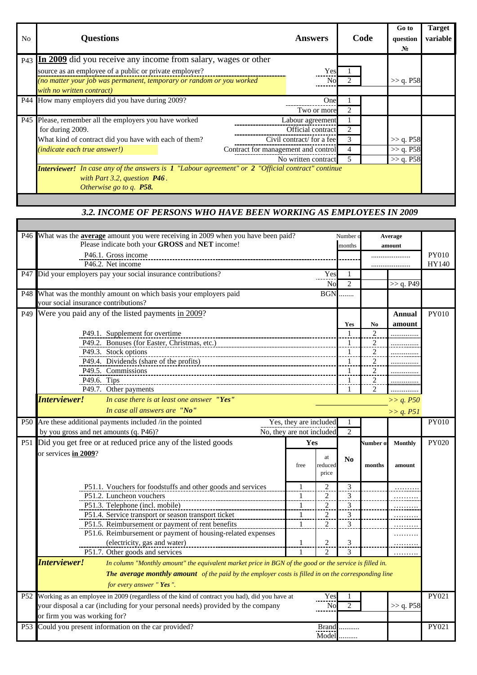| <b>Questions</b>                                                     | <b>Answers</b>          |   |                                                                                                                                                                                                                                                                                     | Go to<br>question<br>$N_2$ | <b>Target</b><br>variable |
|----------------------------------------------------------------------|-------------------------|---|-------------------------------------------------------------------------------------------------------------------------------------------------------------------------------------------------------------------------------------------------------------------------------------|----------------------------|---------------------------|
| P43 In 2009 did you receive any income from salary, wages or other   |                         |   |                                                                                                                                                                                                                                                                                     |                            |                           |
| source as an employee of a public or private employer?               |                         |   |                                                                                                                                                                                                                                                                                     |                            |                           |
| (no matter your job was permanent, temporary or random or you worked |                         |   |                                                                                                                                                                                                                                                                                     | $>>$ q. P58                |                           |
| with no written contract)                                            |                         |   |                                                                                                                                                                                                                                                                                     |                            |                           |
| P44 How many employers did you have during 2009?                     |                         |   |                                                                                                                                                                                                                                                                                     |                            |                           |
|                                                                      |                         | 2 |                                                                                                                                                                                                                                                                                     |                            |                           |
| P45 Please, remember all the employers you have worked               |                         |   |                                                                                                                                                                                                                                                                                     |                            |                           |
| for during 2009.                                                     |                         |   |                                                                                                                                                                                                                                                                                     |                            |                           |
| What kind of contract did you have with each of them?                |                         | 3 |                                                                                                                                                                                                                                                                                     | >> q. P58                  |                           |
| <i>(indicate each true answer!)</i>                                  |                         |   |                                                                                                                                                                                                                                                                                     | >> q. P58                  |                           |
|                                                                      |                         | 5 |                                                                                                                                                                                                                                                                                     | >> q. P58                  |                           |
|                                                                      |                         |   |                                                                                                                                                                                                                                                                                     |                            |                           |
| with Part 3.2, question $P46$ .                                      |                         |   |                                                                                                                                                                                                                                                                                     |                            |                           |
|                                                                      |                         |   |                                                                                                                                                                                                                                                                                     |                            |                           |
|                                                                      | Otherwise go to q. P58. |   | Yes<br>No<br>One<br>Two or more<br>Labour agreement<br>Official contract<br>Civil contract/ for a fee<br>Contract for management and control<br>No written contract<br><b>Interviewer!</b> In case any of the answers is $1$ "Labour agreement" or $2$ "Official contract" continue | Code                       |                           |

### *3.2. INCOME OF PERSONS WHO HAVE BEEN WORKING AS EMPLOYEES IN 2009*

|     | P46 What was the <b>average</b> amount you were receiving in 2009 when you have been paid?                             |                           |                       |                         |                |                |              |
|-----|------------------------------------------------------------------------------------------------------------------------|---------------------------|-----------------------|-------------------------|----------------|----------------|--------------|
|     | Please indicate both your GROSS and NET income!                                                                        |                           |                       | Number                  |                | Average        |              |
|     |                                                                                                                        |                           |                       | months                  |                | amount         |              |
|     | P46.1. Gross income                                                                                                    |                           |                       |                         |                |                | <b>PY010</b> |
|     | P46.2. Net income                                                                                                      |                           |                       |                         |                |                | HY140        |
| P47 | Did your employers pay your social insurance contributions?                                                            |                           | Yes                   | -1                      |                |                |              |
|     |                                                                                                                        |                           | N <sub>o</sub>        | $\overline{2}$          |                | >> q. P49      |              |
|     | P48 What was the monthly amount on which basis your employers paid                                                     |                           | <b>BGN</b>            | .                       |                |                |              |
|     | your social insurance contributions?                                                                                   |                           |                       |                         |                |                |              |
| P49 | Were you paid any of the listed payments in 2009?                                                                      |                           |                       |                         |                | Annual         | PY010        |
|     |                                                                                                                        |                           |                       | Yes                     | No             | amount         |              |
|     | P49.1. Supplement for overtime                                                                                         |                           |                       | -1                      | $\overline{c}$ |                |              |
|     | P49.2. Bonuses (for Easter, Christmas, etc.)                                                                           |                           |                       | $\mathbf{1}$            | $\overline{c}$ |                |              |
|     | P49.3. Stock options                                                                                                   |                           |                       | $\overline{1}$          | $\overline{2}$ | .              |              |
|     | P49.4. Dividends (share of the profits)                                                                                |                           | $\overline{1}$        | $\overline{2}$          |                |                |              |
|     | P49.5. Commissions                                                                                                     |                           | -1                    | $\overline{c}$          |                |                |              |
|     | P49.6. Tips                                                                                                            |                           |                       | $\mathbf{1}$            | $\overline{2}$ |                |              |
|     | P49.7. Other payments                                                                                                  |                           |                       | -1                      | 2              | .              |              |
|     | Interviewer!<br>In case there is at least one answer "Yes"                                                             |                           |                       |                         | >> q. P50      |                |              |
|     | In case all answers are "No"                                                                                           |                           |                       |                         |                |                |              |
|     |                                                                                                                        |                           |                       |                         | >> q. P51      |                |              |
|     | P50 Are these additional payments included /in the pointed                                                             | Yes, they are included    |                       |                         |                |                | <b>PY010</b> |
|     | by you gross and net amounts (q. P46)?                                                                                 | No, they are not included |                       | $\overline{2}$          |                |                |              |
|     |                                                                                                                        |                           |                       |                         |                |                |              |
|     | P51 Did you get free or at reduced price any of the listed goods                                                       | Yes                       |                       |                         | Number o       | <b>Monthly</b> | PY020        |
|     | or services in 2009?                                                                                                   |                           |                       |                         |                |                |              |
|     |                                                                                                                        |                           | at                    | N <sub>0</sub>          |                |                |              |
|     |                                                                                                                        | free                      | reduced               |                         | months         | amount         |              |
|     |                                                                                                                        |                           | price                 |                         |                |                |              |
|     | P51.1. Vouchers for foodstuffs and other goods and services                                                            | $\mathbf{1}$              | 2                     | 3                       |                |                |              |
|     | P51.2. Luncheon vouchers                                                                                               | $\mathbf{1}$              | 2                     | $\mathfrak{Z}$          |                |                |              |
|     | P51.3. Telephone (incl. mobile)                                                                                        | $\overline{1}$            | $\overline{2}$        | $\overline{\mathbf{3}}$ |                |                |              |
|     | P51.4. Service transport or season transport ticket                                                                    | $\mathbf{1}$              | 2                     | 3                       |                |                |              |
|     | P51.5. Reimbursement or payment of rent benefits                                                                       | $\mathbf{1}$              | $\overline{2}$        | 3                       |                |                |              |
|     | P51.6. Reimbursement or payment of housing-related expenses                                                            |                           |                       |                         |                |                |              |
|     | (electricity, gas and water)                                                                                           | $\mathbf{1}$              | 2                     | 3                       |                |                |              |
|     | P51.7. Other goods and services                                                                                        | $\mathbf{1}$              | 2                     | 3                       |                |                |              |
|     | Interviewer!<br>In column "Monthly amount" the equivalent market price in BGN of the good or the service is filled in. |                           |                       |                         |                |                |              |
|     | The average monthly amount of the paid by the employer costs is filled in on the corresponding line                    |                           |                       |                         |                |                |              |
|     |                                                                                                                        |                           |                       |                         |                |                |              |
|     | for every answer "Yes".                                                                                                |                           |                       |                         |                |                |              |
|     | P52 Working as an employee in 2009 (regardless of the kind of contract you had), did you have at                       |                           | Yes                   |                         |                |                | PY021        |
|     | your disposal a car (including for your personal needs) provided by the company                                        |                           | N <sub>0</sub>        | $\overline{c}$          |                | >> q. P58      |              |
|     | or firm you was working for?                                                                                           |                           |                       |                         |                |                |              |
| P53 | Could you present information on the car provided?                                                                     |                           | <b>Brand</b><br>Model |                         |                |                | PY021        |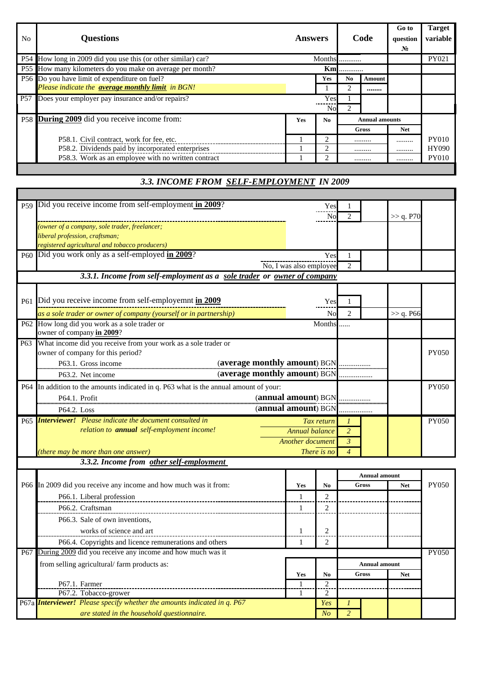| N <sub>0</sub> | <b>Questions</b>                                              | <b>Answers</b> |                |                | Code                  | Go to<br>question<br>$N_2$ | <b>Target</b><br>variable |
|----------------|---------------------------------------------------------------|----------------|----------------|----------------|-----------------------|----------------------------|---------------------------|
|                | P54 How long in 2009 did you use this (or other similar) car? |                |                | Months         |                       |                            | PY021                     |
|                | P55 How many kilometers do you make on average per month?     | <b>Km</b>      |                |                |                       |                            |                           |
|                | P56 Do you have limit of expenditure on fuel?                 |                | Yes            | N <sub>0</sub> | <b>Amount</b>         |                            |                           |
|                | Please indicate the average monthly limit in BGN!             |                |                |                |                       |                            |                           |
| <b>P57</b>     | Does your employer pay insurance and/or repairs?              |                | Yes            |                |                       |                            |                           |
|                |                                                               |                | No             | $2^{1}$        |                       |                            |                           |
|                | P58 During 2009 did you receive income from:                  | <b>Yes</b>     | N <sub>0</sub> |                | <b>Annual amounts</b> |                            |                           |
|                |                                                               |                |                | Gross          |                       | <b>Net</b>                 |                           |
|                | P58.1. Civil contract, work for fee, etc.                     |                |                |                |                       |                            | <b>PY010</b>              |
|                | P58.2. Dividends paid by incorporated enterprises             |                |                |                |                       |                            | <b>HY090</b>              |
|                | P58.3. Work as an employee with no written contract           |                |                |                |                       |                            | <b>PY010</b>              |

### *3.3. INCOME FROM SELF-EMPLOYMENT IN 2009*

| P59 Did you receive income from self-employment in 2009?<br>Y es                      |                             |                      |              |              |
|---------------------------------------------------------------------------------------|-----------------------------|----------------------|--------------|--------------|
| Nο                                                                                    |                             |                      | >> q. P70    |              |
| (owner of a company, sole trader, freelancer;                                         |                             |                      |              |              |
| liberal profession, craftsman;                                                        |                             |                      |              |              |
| registered agricultural and tobacco producers)                                        |                             |                      |              |              |
| P60 Did you work only as a self-employed in 2009?<br>Yes                              |                             |                      |              |              |
| No, I was also employee                                                               | $\mathcal{D}_{\mathcal{L}}$ |                      |              |              |
| 3.3.1. Income from self-employment as a sole trader or owner of company               |                             |                      |              |              |
|                                                                                       |                             |                      |              |              |
| P61 Did you receive income from self-employemnt in 2009<br>Yes                        |                             |                      |              |              |
| as a sole trader or owner of company (yourself or in partnership)<br>N <sub>0</sub>   | $\mathcal{L}$               |                      | $\gg$ q. P66 |              |
| P62 How long did you work as a sole trader or<br>Months                               |                             |                      |              |              |
| owner of company in 2009?                                                             |                             |                      |              |              |
| P63 What income did you receive from your work as a sole trader or                    |                             |                      |              |              |
| owner of company for this period?                                                     |                             |                      |              | <b>PY050</b> |
| (average monthly amount) BGN<br>P63.1. Gross income                                   |                             |                      |              |              |
| (average monthly amount) BGN<br>P63.2. Net income                                     |                             |                      |              |              |
| P64 In addition to the amounts indicated in q. P63 what is the annual amount of your: |                             |                      |              | <b>PY050</b> |
| (annual amount) BGN<br>P64.1. Profit                                                  |                             |                      |              |              |
| (annual amount) BGN<br>P64.2. Loss                                                    |                             |                      |              |              |
| P65 <i>Interviewer! Please indicate the document consulted in</i><br>Tax return       |                             |                      |              | <b>PY050</b> |
| relation to <b>annual</b> self-employment income!<br>Annual balance                   | $\overline{2}$              |                      |              |              |
| <b>Another document</b>                                                               | 3                           |                      |              |              |
| (there may be more than one answer)<br>There is no                                    | $\overline{\mathcal{A}}$    |                      |              |              |
| 3.3.2. Income from other self-employment                                              |                             |                      |              |              |
|                                                                                       |                             | <b>Annual amount</b> |              |              |

|            |                                                                                 |     |                | Annual amount        |            |              |
|------------|---------------------------------------------------------------------------------|-----|----------------|----------------------|------------|--------------|
|            | P66 In 2009 did you receive any income and how much was it from:                | Yes | N <sub>0</sub> | Gross                | <b>Net</b> | <b>PY050</b> |
|            | P66.1. Liberal profession                                                       |     |                |                      |            |              |
|            | P66.2. Craftsman                                                                |     |                |                      |            |              |
|            | P66.3. Sale of own inventions,                                                  |     |                |                      |            |              |
|            | works of science and art                                                        |     |                |                      |            |              |
|            | P66.4. Copyrights and licence remunerations and others                          |     |                |                      |            |              |
| <b>P67</b> | During 2009 did you receive any income and how much was it                      |     |                |                      |            | <b>PY050</b> |
|            | from selling agricultural/farm products as:                                     |     |                | <b>Annual amount</b> |            |              |
|            |                                                                                 | Yes | N <sub>0</sub> | Gross                | <b>Net</b> |              |
|            | P67.1. Farmer                                                                   |     |                |                      |            |              |
|            | P67.2. Tobacco-grower                                                           |     |                |                      |            |              |
|            | P67a <i>Interviewer! Please specify whether the amounts indicated in q. P67</i> |     | Yes            |                      |            |              |
|            | are stated in the household questionnaire.                                      |     | No             |                      |            |              |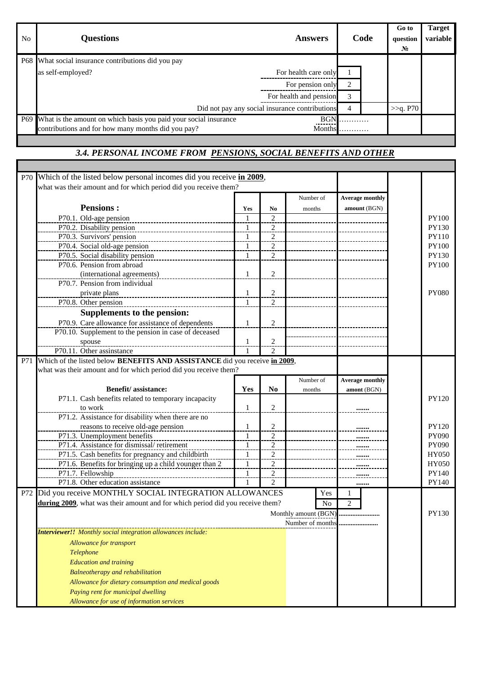| No | <b>Questions</b><br><b>Answers</b>                                   |      | Code |  | Go to<br>question<br>$N_2$ | <b>Target</b><br>variable |
|----|----------------------------------------------------------------------|------|------|--|----------------------------|---------------------------|
|    | P68 What social insurance contributions did you pay                  |      |      |  |                            |                           |
|    | For health care only<br>as self-employed?                            |      |      |  |                            |                           |
|    | For pension only                                                     |      |      |  |                            |                           |
|    | For health and pension                                               |      | 3    |  |                            |                           |
|    | Did not pay any social insurance contributions                       |      | 4    |  | >>q. P70                   |                           |
|    | P69 What is the amount on which basis you paid your social insurance | BGN. | .    |  |                            |                           |
|    | contributions and for how many months did you pay?<br>Months         |      | .    |  |                            |                           |

#### *3.4. PERSONAL INCOME FROM PENSIONS, SOCIAL BENEFITS AND OTHER*

| <b>P70</b> | Which of the listed below personal incomes did you receive in 2009,           |                |                   |                      |                        |              |
|------------|-------------------------------------------------------------------------------|----------------|-------------------|----------------------|------------------------|--------------|
|            | what was their amount and for which period did you receive them?              |                |                   |                      |                        |              |
|            |                                                                               |                |                   | Number of            | <b>Average monthly</b> |              |
|            | <b>Pensions:</b>                                                              | Yes            | No                | months               | amount (BGN)           |              |
|            | P70.1. Old-age pension                                                        | $\mathbf{1}$   | $\mathfrak{D}$    |                      |                        | <b>PY100</b> |
|            | P70.2. Disability pension                                                     | $\mathbf{1}$   | $\overline{2}$    |                      |                        | PY130        |
|            | P70.3. Survivors' pension                                                     | $\mathbf{1}$   | 2                 |                      |                        | <b>PY110</b> |
|            | P70.4. Social old-age pension                                                 | $\overline{1}$ | $\overline{2}$    |                      |                        | <b>PY100</b> |
|            | P70.5. Social disability pension                                              | $\mathbf{1}$   | $\overline{2}$    |                      |                        | PY130        |
|            | P70.6. Pension from abroad                                                    |                |                   |                      |                        | <b>PY100</b> |
|            | (international agreements)                                                    | $\mathbf{1}$   | 2                 |                      |                        |              |
|            | P70.7. Pension from individual                                                |                |                   |                      |                        |              |
|            | private plans                                                                 | $\overline{1}$ | $\overline{2}$    |                      |                        | <b>PY080</b> |
|            | P70.8. Other pension                                                          | 1              | 2                 |                      |                        |              |
|            | <b>Supplements to the pension:</b>                                            |                |                   |                      |                        |              |
|            | P70.9. Care allowance for assistance of dependents                            | $\mathbf{1}$   | 2                 |                      |                        |              |
|            | P70.10. Supplement to the pension in case of deceased                         |                |                   |                      |                        |              |
|            | spouse                                                                        | 1              | 2                 |                      |                        |              |
|            | P70.11. Other assinstance                                                     | 1              | 2                 |                      |                        |              |
| P71        | Which of the listed below BENEFITS AND ASSISTANCE did you receive in 2009,    |                |                   |                      |                        |              |
|            | what was their amount and for which period did you receive them?              |                |                   |                      |                        |              |
|            |                                                                               |                |                   | Number of            | <b>Average monthly</b> |              |
|            | <b>Benefit/assistance:</b>                                                    | Yes            | No                | months               | amont (BGN)            |              |
|            | P71.1. Cash benefits related to temporary incapacity                          |                |                   |                      |                        | <b>PY120</b> |
|            | to work                                                                       | 1              | 2                 |                      |                        |              |
|            | P71.2. Assistance for disability when there are no                            |                |                   |                      |                        |              |
|            | reasons to receive old-age pension                                            | $\overline{1}$ | $\overline{2}$    |                      |                        | <b>PY120</b> |
|            | P71.3. Unemployment benefits                                                  | 1              | $\overline{2}$    |                      |                        | PY090        |
|            | P71.4. Assistance for dismissal/retirement                                    | $\mathbf{1}$   | $\frac{2}{\cdot}$ |                      |                        | PY090        |
|            | P71.5. Cash benefits for pregnancy and childbirth                             | $\mathbf{1}$   | $\overline{2}$    |                      | <u></u>                | <b>HY050</b> |
|            | P71.6. Benefits for bringing up a child younger than 2                        | $\mathbf{1}$   | $\overline{2}$    |                      |                        | <b>HY050</b> |
|            | P71.7. Fellowship                                                             | $\mathbf{1}$   | $\overline{2}$    |                      |                        | PY140        |
|            | P71.8. Other education assistance                                             | 1              | 2                 |                      |                        | PY140        |
| P72        | Did you receive MONTHLY SOCIAL INTEGRATION ALLOWANCES                         |                |                   | Yes                  | 1                      |              |
|            | during 2009, what was their amount and for which period did you receive them? |                |                   | No                   | $\overline{2}$         |              |
|            |                                                                               |                |                   | Monthly amount (BGN) |                        | PY130        |
|            |                                                                               |                |                   |                      |                        |              |
|            | <b>Interviewer!!</b> Monthly social integration allowances include:           |                |                   |                      |                        |              |
|            | Allowance for transport                                                       |                |                   |                      |                        |              |
|            |                                                                               |                |                   |                      |                        |              |
|            | Telephone                                                                     |                |                   |                      |                        |              |
|            | <b>Education and training</b>                                                 |                |                   |                      |                        |              |
|            | <b>Balneotherapy and rehabilitation</b>                                       |                |                   |                      |                        |              |
|            | Allowance for dietary consumption and medical goods                           |                |                   |                      |                        |              |
|            | Paying rent for municipal dwelling                                            |                |                   |                      |                        |              |
|            | Allowance for use of information services                                     |                |                   |                      |                        |              |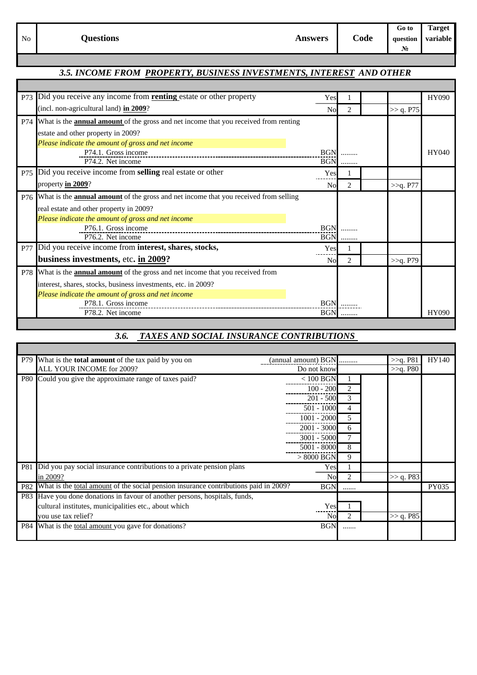|    |                  |                |      | $-6000$ 1            | 1 arget |
|----|------------------|----------------|------|----------------------|---------|
| No | <b>Questions</b> | <b>Answers</b> | Code | question variable    |         |
|    |                  |                |      | <b>N<sub>n</sub></b> |         |

#### *3.5. INCOME FROM PROPERTY, BUSINESS INVESTMENTS, INTEREST AND OTHER*

| P73        | Did you receive any income from <b>renting</b> estate or other property                         | Yes            |   |           | HY090 |
|------------|-------------------------------------------------------------------------------------------------|----------------|---|-----------|-------|
|            | (incl. non-agricultural land) in 2009?                                                          | N <sub>0</sub> | 2 | >> q. P75 |       |
| P74        | What is the <b>annual amount</b> of the gross and net income that you received from renting     |                |   |           |       |
|            | estate and other property in 2009?                                                              |                |   |           |       |
|            | Please indicate the amount of gross and net income                                              |                |   |           |       |
|            | P74.1. Gross income                                                                             | <b>BGN</b>     |   |           | HY040 |
|            | P74.2. Net income                                                                               | <b>BGN</b>     | . |           |       |
| P75        | Did you receive income from selling real estate or other                                        | Yes            |   |           |       |
|            | property $\frac{\text{in } 2009}{?}$                                                            | No             | 2 | >>q. P77  |       |
|            | P76 What is the <b>annual amount</b> of the gross and net income that you received from selling |                |   |           |       |
|            | real estate and other property in 2009?                                                         |                |   |           |       |
|            | Please indicate the amount of gross and net income                                              |                |   |           |       |
|            | P76.1. Gross income                                                                             | <b>BGN</b>     |   |           |       |
|            | P76.2. Net income                                                                               | <b>BGN</b>     | . |           |       |
| <b>P77</b> | Did you receive income from interest, shares, stocks,                                           | Yes            |   |           |       |
|            | business investments, etc. in 2009?                                                             | N <sub>0</sub> | 2 | >>q. P79  |       |
|            | P78 What is the <b>annual amount</b> of the gross and net income that you received from         |                |   |           |       |
|            | interest, shares, stocks, business investments, etc. in 2009?                                   |                |   |           |       |
|            | Please indicate the amount of gross and net income                                              |                |   |           |       |
|            | P78.1. Gross income                                                                             | <b>BGN</b>     |   |           |       |
|            | P78.2. Net income                                                                               | <b>BGN</b>     | . |           | HY090 |

#### *3.6. TAXES AND SOCIAL INSURANCE CONTRIBUTIONS*

|            | P79 What is the <b>total amount</b> of the tax paid by you on                        | (annual amount) BGN | .                           | >>q. P81    | HY140 |
|------------|--------------------------------------------------------------------------------------|---------------------|-----------------------------|-------------|-------|
|            | ALL YOUR INCOME for 2009?                                                            | Do not know         |                             | $>>q$ . P80 |       |
|            | P80 Could you give the approximate range of taxes paid?                              | $< 100$ BGN         |                             |             |       |
|            |                                                                                      | $100 - 200$         | 2                           |             |       |
|            |                                                                                      | $201 - 500$         | 3                           |             |       |
|            |                                                                                      | $501 - 1000$        | 4                           |             |       |
|            |                                                                                      | $1001 - 2000$       | 5.                          |             |       |
|            |                                                                                      | 2001 - 3000         | 6                           |             |       |
|            |                                                                                      | $3001 - 5000$       |                             |             |       |
|            |                                                                                      | 5001 - 8000         | 8                           |             |       |
|            |                                                                                      | $> 8000$ BGN        | 9                           |             |       |
|            | P81 Did you pay social insurance contributions to a private pension plans            | Yes                 |                             |             |       |
|            | in 2009?                                                                             | No                  | $\mathfrak{D}$              | >> q. P83   |       |
| <b>P82</b> | What is the total amount of the social pension insurance contributions paid in 2009? | <b>BGN</b>          |                             |             | PY035 |
|            | P83 Have you done donations in favour of another persons, hospitals, funds,          |                     |                             |             |       |
|            | cultural institutes, municipalities etc., about which                                | Yes                 |                             |             |       |
|            | you use tax relief?                                                                  | Nol                 | $\mathcal{D}_{\mathcal{A}}$ | >> q. P85   |       |
|            | P84 What is the total amount you gave for donations?                                 | <b>BGN</b>          |                             |             |       |
|            |                                                                                      |                     |                             |             |       |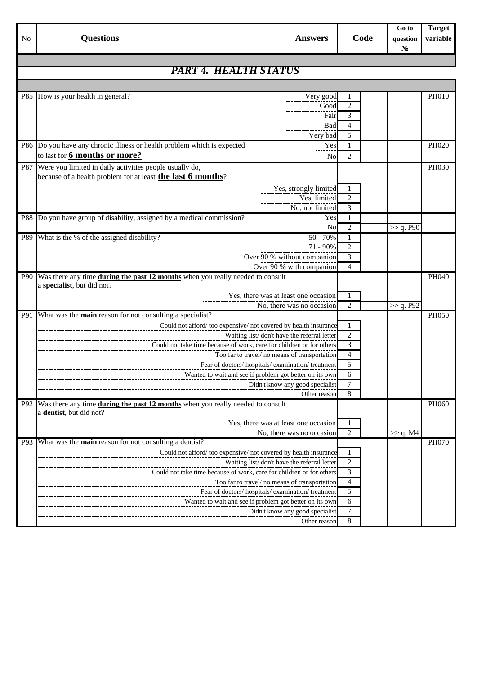|            |                                                                                                                            |                | Go to             | <b>Target</b> |
|------------|----------------------------------------------------------------------------------------------------------------------------|----------------|-------------------|---------------|
| No         | <b>Questions</b><br><b>Answers</b>                                                                                         | Code           | question<br>$N_2$ | variable      |
|            |                                                                                                                            |                |                   |               |
|            | PART 4. HEALTH STATUS                                                                                                      |                |                   |               |
|            |                                                                                                                            |                |                   |               |
| <b>P85</b> | How is your health in general?<br>Very good                                                                                |                |                   | <b>PH010</b>  |
|            | Good                                                                                                                       | 2              |                   |               |
|            | Fair                                                                                                                       | 3              |                   |               |
|            | Bad                                                                                                                        | 4              |                   |               |
|            | Very bad                                                                                                                   | 5              |                   |               |
|            | P86 Do you have any chronic illness or health problem which is expected<br>Yes<br>to last for 6 months or more?            | $\mathbf{1}$   |                   | PH020         |
|            | N <sub>o</sub>                                                                                                             | $\overline{2}$ |                   |               |
|            | P87 Were you limited in daily activities people usually do,<br>because of a health problem for at least the last 6 months? |                |                   | PH030         |
|            |                                                                                                                            |                |                   |               |
|            | Yes, strongly limited<br>Yes, limited                                                                                      | $\overline{2}$ |                   |               |
|            | No, not limited                                                                                                            | 3              |                   |               |
| <b>P88</b> | Do you have group of disability, assigned by a medical commission?<br>Yes                                                  | 1              |                   |               |
|            | No                                                                                                                         | $\overline{2}$ | >> q. P90         |               |
| P89        | What is the % of the assigned disability?<br>$50 - 70%$                                                                    | 1              |                   |               |
|            | $71 - 90\%$                                                                                                                | $\overline{2}$ |                   |               |
|            | Over 90 % without companion                                                                                                | 3              |                   |               |
|            | Over 90 % with companion                                                                                                   | 4              |                   |               |
| <b>P90</b> | Was there any time during the past 12 months when you really needed to consult                                             |                |                   | PH040         |
|            | a specialist, but did not?                                                                                                 |                |                   |               |
|            | Yes, there was at least one occasion<br>No, there was no occasion                                                          | -1<br>2        | >> q. P92         |               |
| <b>P91</b> | What was the <b>main</b> reason for not consulting a specialist?                                                           |                |                   | <b>PH050</b>  |
|            | Could not afford/too expensive/not covered by health insurance                                                             |                |                   |               |
|            | Waiting list/don't have the referral letter                                                                                | $\mathbf{2}$   |                   |               |
|            | Could not take time because of work, care for children or for others                                                       | 3              |                   |               |
|            | Too far to travel/ no means of transportation                                                                              | $\overline{4}$ |                   |               |
|            | Fear of doctors/hospitals/examination/treatment                                                                            | 5              |                   |               |
|            | Wanted to wait and see if problem got better on its own                                                                    | 6              |                   |               |
|            | Didn't know any good specialist                                                                                            |                |                   |               |
|            | Other reason                                                                                                               | 8              |                   |               |
| <b>P92</b> | Was there any time during the past 12 months when you really needed to consult<br>a dentist, but did not?                  |                |                   | PH060         |
|            | Yes, there was at least one occasion                                                                                       |                |                   |               |
|            | No, there was no occasion                                                                                                  | $\overline{2}$ | >> q. M4          |               |
| P93        | What was the main reason for not consulting a dentist?                                                                     |                |                   | <b>PH070</b>  |
|            | Could not afford/too expensive/not covered by health insurance                                                             | -1             |                   |               |
|            | Waiting list/don't have the referral letter                                                                                | 2              |                   |               |
|            | Could not take time because of work, care for children or for others                                                       | 3              |                   |               |
|            | Too far to travel/ no means of transportation                                                                              | $\overline{4}$ |                   |               |
|            | Fear of doctors/hospitals/examination/treatment                                                                            | $\mathfrak s$  |                   |               |
|            | Wanted to wait and see if problem got better on its own                                                                    | 6              |                   |               |
|            | Didn't know any good specialist                                                                                            | $\tau$         |                   |               |
|            | Other reason                                                                                                               | 8              |                   |               |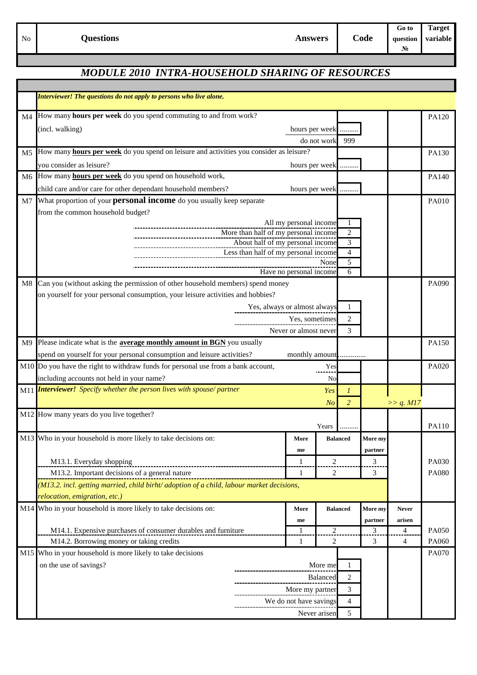**Answers Code**

**Go to Target** No **Questions Questions** *Questions Question Questions Question Questions Question variable* **№**

# *MODULE 2010 INTRA-HOUSEHOLD SHARING OF RESOURCES*

|    | Interviewer! The questions do not apply to persons who live alone.                          |                                                                          |                       |                |                 |              |                          |       |
|----|---------------------------------------------------------------------------------------------|--------------------------------------------------------------------------|-----------------------|----------------|-----------------|--------------|--------------------------|-------|
| M4 | How many hours per week do you spend commuting to and from work?                            |                                                                          |                       |                |                 |              |                          | PA120 |
|    | (incl. walking)<br>hours per week                                                           |                                                                          |                       |                |                 |              |                          |       |
|    | do not work                                                                                 |                                                                          |                       |                |                 |              |                          |       |
| M5 | How many hours per week do you spend on leisure and activities you consider as leisure?     |                                                                          |                       |                |                 | PA130        |                          |       |
|    | you consider as leisure?                                                                    |                                                                          | hours per week        |                |                 |              |                          |       |
| M6 | How many <b>hours per week</b> do you spend on household work,                              |                                                                          |                       |                |                 |              |                          | PA140 |
|    | child care and/or care for other dependant household members?                               |                                                                          | hours per week        |                |                 |              |                          |       |
| M7 | What proportion of your <b>personal income</b> do you usually keep separate                 |                                                                          |                       |                | PA010           |              |                          |       |
|    | from the common household budget?                                                           |                                                                          |                       |                |                 |              |                          |       |
|    |                                                                                             | All my personal income<br>-1                                             |                       |                |                 |              |                          |       |
|    |                                                                                             | More than half of my personal income                                     | $\overline{2}$        |                |                 |              |                          |       |
|    |                                                                                             | About half of my personal income<br>Less than half of my personal income | 3<br>$\overline{4}$   |                |                 |              |                          |       |
|    |                                                                                             | None                                                                     | 5                     |                |                 |              |                          |       |
|    |                                                                                             | Have no personal income                                                  | 6                     |                |                 |              |                          |       |
| M8 | Can you (without asking the permission of other household members) spend money              |                                                                          |                       |                |                 | PA090        |                          |       |
|    | on yourself for your personal consumption, your leisure activities and hobbies?             |                                                                          |                       |                |                 |              |                          |       |
|    |                                                                                             | Yes, always or almost always                                             |                       |                | 1               |              |                          |       |
|    |                                                                                             | Yes, sometimes                                                           |                       |                | 2               |              |                          |       |
|    |                                                                                             |                                                                          | Never or almost never |                | 3               |              |                          |       |
| M9 | Please indicate what is the <b>average monthly amount in BGN</b> you usually                |                                                                          |                       |                |                 |              |                          | PA150 |
|    | spend on yourself for your personal consumption and leisure activities?<br>monthly amount   |                                                                          |                       |                |                 |              |                          |       |
|    | M10 Do you have the right to withdraw funds for personal use from a bank account,           |                                                                          |                       | Yes            |                 |              |                          | PA020 |
|    | including accounts not held in your name?                                                   |                                                                          |                       | No             |                 |              |                          |       |
|    | M11 <b>Interviewer!</b> Specify whether the person lives with spouse/partner                |                                                                          |                       | Yes            | 1               |              |                          |       |
|    |                                                                                             |                                                                          |                       | N <sub>O</sub> | $\overline{2}$  |              | >> q. M17                |       |
|    | M12 How many years do you live together?                                                    |                                                                          |                       |                |                 |              |                          |       |
|    |                                                                                             |                                                                          |                       | Years          |                 |              |                          | PA110 |
|    | M13 Who in your household is more likely to take decisions on:                              |                                                                          | More                  |                | <b>Balanced</b> | More my      |                          |       |
|    |                                                                                             |                                                                          | me                    |                |                 | partner      |                          |       |
|    | M13.1. Everyday shopping                                                                    |                                                                          | 1                     | $\overline{2}$ |                 | 3            |                          | PA030 |
|    | M13.2. Important decisions of a general nature                                              |                                                                          | 1                     | 2              |                 | 3            |                          | PA080 |
|    | $(M13.2.$ incl. getting married, child birht/ adoption of a child, labour market decisions, |                                                                          |                       |                |                 |              |                          |       |
|    | relocation, emigration, etc.)                                                               |                                                                          |                       |                |                 |              |                          |       |
|    | M14 Who in your household is more likely to take decisions on:                              |                                                                          | More                  |                | <b>Balanced</b> | More my      | <b>Never</b>             |       |
|    | M14.1. Expensive purchases of consumer durables and furniture                               |                                                                          | me<br>1               | 2              |                 | partner<br>3 | arisen<br>$\overline{4}$ | PA050 |
|    | M14.2. Borrowing money or taking credits                                                    |                                                                          | 1                     | $\overline{2}$ |                 | 3            | 4                        | PA060 |
|    | M15 Who in your household is more likely to take decisions                                  |                                                                          |                       |                |                 |              |                          | PA070 |
|    | on the use of savings?                                                                      | More me                                                                  |                       |                | -1              |              |                          |       |
|    |                                                                                             | <b>Balanced</b>                                                          |                       | 2              |                 |              |                          |       |
|    |                                                                                             | More my partner                                                          |                       |                | 3               |              |                          |       |
|    |                                                                                             | We do not have savings                                                   |                       |                | 4               |              |                          |       |
|    |                                                                                             | Never arisen                                                             |                       |                | 5               |              |                          |       |
|    |                                                                                             |                                                                          |                       |                |                 |              |                          |       |